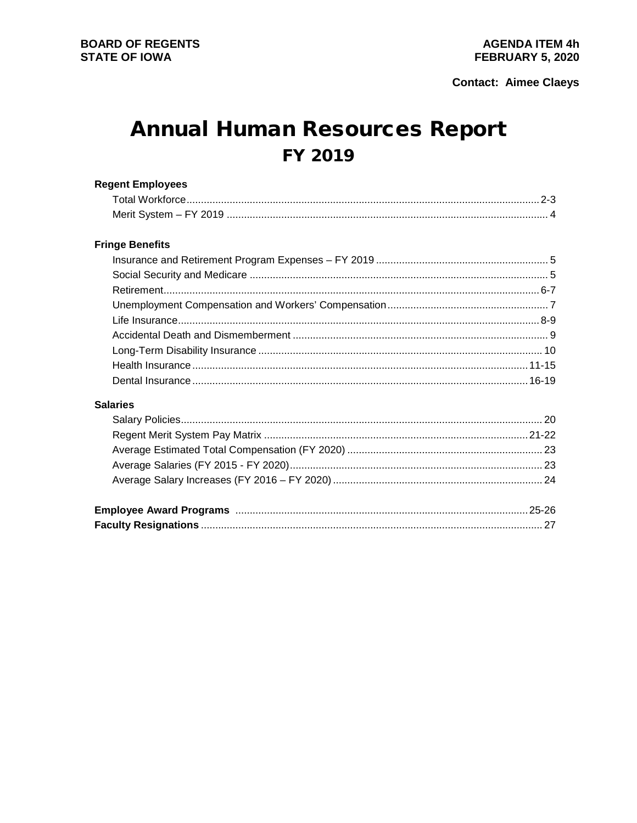# **Annual Human Resources Report** FY 2019

| <b>Regent Employees</b> |  |
|-------------------------|--|
|                         |  |
|                         |  |
| <b>Fringe Benefits</b>  |  |
|                         |  |
|                         |  |
|                         |  |
|                         |  |
|                         |  |
|                         |  |
|                         |  |
|                         |  |
|                         |  |
| <b>Salaries</b>         |  |
|                         |  |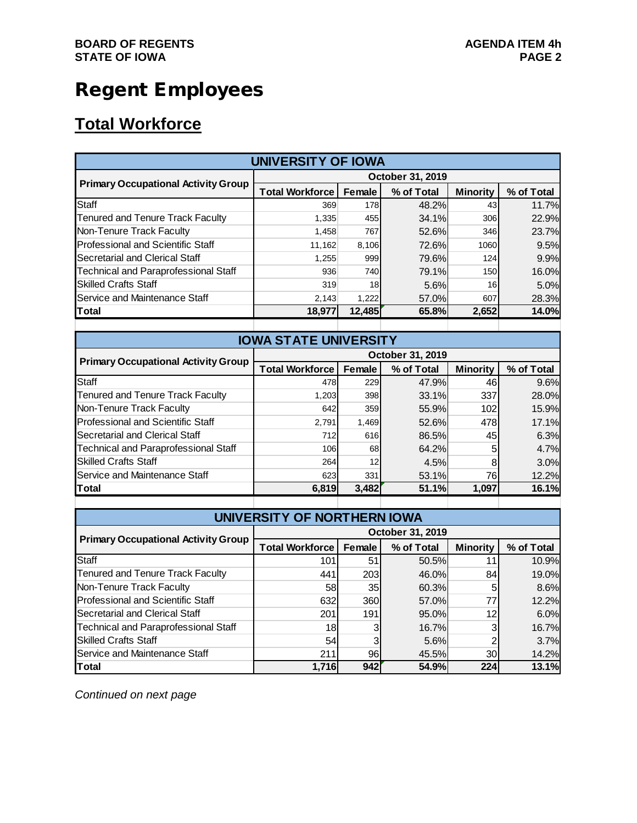# Regent Employees

## **Total Workforce**

| <b>UNIVERSITY OF IOWA</b>                  |                        |            |                  |                 |            |  |  |
|--------------------------------------------|------------------------|------------|------------------|-----------------|------------|--|--|
|                                            |                        |            | October 31, 2019 |                 |            |  |  |
| <b>Primary Occupational Activity Group</b> | <b>Total Workforce</b> | Female     | % of Total       | <b>Minority</b> | % of Total |  |  |
| Staff                                      | 369                    | 178        | 48.2%            | 43              | 11.7%      |  |  |
| Tenured and Tenure Track Faculty           | 1,335                  | 455        | 34.1%            | 306             | 22.9%      |  |  |
| Non-Tenure Track Faculty                   | 1,458                  | 767        | 52.6%            | 346             | 23.7%      |  |  |
| Professional and Scientific Staff          | 11,162                 | 8,106      | 72.6%            | 1060            | 9.5%       |  |  |
| Secretarial and Clerical Staff             | 1.255                  | 999        | 79.6%            | 124             | 9.9%       |  |  |
| Technical and Paraprofessional Staff       | 936                    | <b>740</b> | 79.1%            | 150             | 16.0%      |  |  |
| <b>Skilled Crafts Staff</b>                | 319                    | 18         | 5.6%             | 16              | 5.0%       |  |  |
| Service and Maintenance Staff              | 2,143                  | 1,222      | 57.0%            | 607             | 28.3%      |  |  |
| Total                                      | 18,977                 | 12.485     | 65.8%            | 2,652           | 14.0%      |  |  |
|                                            |                        |            |                  |                 |            |  |  |

| <b>IOWA STATE UNIVERSITY</b>                |                        |                  |            |                 |            |  |  |  |
|---------------------------------------------|------------------------|------------------|------------|-----------------|------------|--|--|--|
|                                             |                        | October 31, 2019 |            |                 |            |  |  |  |
| <b>Primary Occupational Activity Group</b>  | <b>Total Workforce</b> | Female           | % of Total | <b>Minority</b> | % of Total |  |  |  |
| Staff                                       | 478                    | 229              | 47.9%      | 46              | 9.6%       |  |  |  |
| <b>Tenured and Tenure Track Faculty</b>     | 1.203                  | 398              | 33.1%      | 337             | 28.0%      |  |  |  |
| Non-Tenure Track Faculty                    | 642                    | 359              | 55.9%      | 102             | 15.9%      |  |  |  |
| Professional and Scientific Staff           | 2.791                  | 1.469            | 52.6%      | 478             | 17.1%      |  |  |  |
| Secretarial and Clerical Staff              | 712                    | 616              | 86.5%      | 45              | 6.3%       |  |  |  |
| <b>Technical and Paraprofessional Staff</b> | 106                    | 68               | 64.2%      | 5               | 4.7%       |  |  |  |
| <b>Skilled Crafts Staff</b>                 | 264                    | 12               | 4.5%       | 8               | 3.0%       |  |  |  |
| Service and Maintenance Staff               | 623                    | 331              | 53.1%      | 76              | 12.2%      |  |  |  |
| Total                                       | 6,819                  | 3.482            | 51.1%      | 1.097           | 16.1%      |  |  |  |

| UNIVERSITY OF NORTHERN IOWA                |                        |                 |                  |                 |            |  |  |  |  |
|--------------------------------------------|------------------------|-----------------|------------------|-----------------|------------|--|--|--|--|
|                                            |                        |                 | October 31, 2019 |                 |            |  |  |  |  |
| <b>Primary Occupational Activity Group</b> | <b>Total Workforce</b> | Female          | % of Total       | <b>Minority</b> | % of Total |  |  |  |  |
| Staff                                      | 101                    | 51              | 50.5%            | 11              | 10.9%      |  |  |  |  |
| <b>Tenured and Tenure Track Faculty</b>    | 441                    | 203             | 46.0%            | 84              | 19.0%      |  |  |  |  |
| Non-Tenure Track Faculty                   | 58                     | 35 <sub>l</sub> | 60.3%            |                 | 8.6%       |  |  |  |  |
| Professional and Scientific Staff          | 632                    | <b>360</b>      | 57.0%            | 77              | 12.2%      |  |  |  |  |
| Secretarial and Clerical Staff             | 201                    | 191             | 95.0%            | 12              | 6.0%       |  |  |  |  |
| Technical and Paraprofessional Staff       | 18                     | 3               | 16.7%            | З               | 16.7%      |  |  |  |  |
| <b>Skilled Crafts Staff</b>                | 54                     |                 | 5.6%             |                 | 3.7%       |  |  |  |  |
| Service and Maintenance Staff              | 211                    | 961             | 45.5%            | 30              | 14.2%      |  |  |  |  |
| Total                                      | 1,716                  | 942             | 54.9%            | 224             | 13.1%      |  |  |  |  |

*Continued on next page*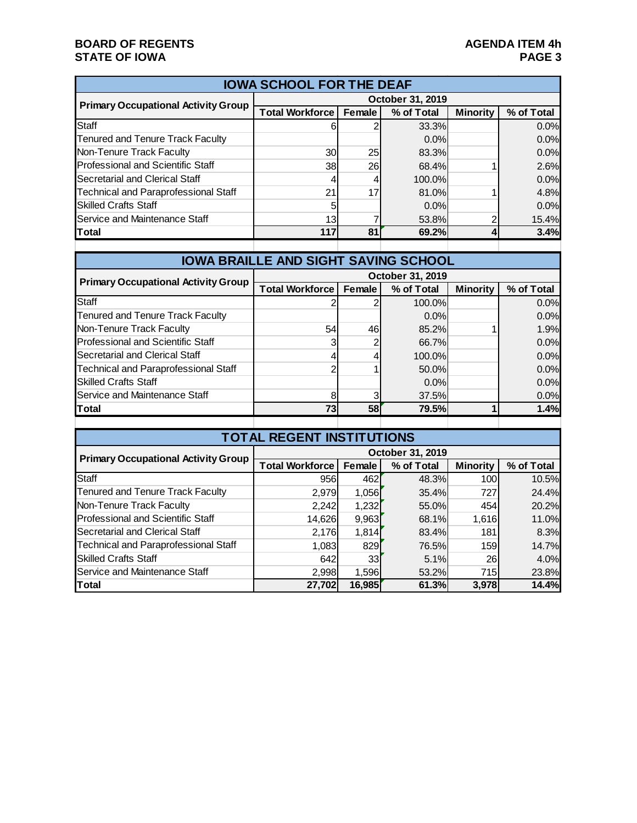#### **BOARD OF REGENTS**<br> **BOARD OF REGENTS**<br> **BOARD OF IOWA**<br>
PAGE 3 **STATE OF IOWA**

| <b>IOWA SCHOOL FOR THE DEAF</b>             |                        |                  |            |                 |            |  |  |
|---------------------------------------------|------------------------|------------------|------------|-----------------|------------|--|--|
|                                             |                        | October 31, 2019 |            |                 |            |  |  |
| <b>Primary Occupational Activity Group</b>  | <b>Total Workforce</b> | <b>Female</b>    | % of Total | <b>Minority</b> | % of Total |  |  |
| Staff                                       | 6                      |                  | 33.3%      |                 | 0.0%       |  |  |
| <b>Tenured and Tenure Track Faculty</b>     |                        |                  | 0.0%       |                 | 0.0%       |  |  |
| Non-Tenure Track Faculty                    | <b>30</b>              | 25               | 83.3%      |                 | 0.0%       |  |  |
| Professional and Scientific Staff           | 38                     | <b>26</b>        | 68.4%      |                 | 2.6%       |  |  |
| Secretarial and Clerical Staff              | 4                      |                  | 100.0%     |                 | 0.0%       |  |  |
| <b>Technical and Paraprofessional Staff</b> | 21                     | 17               | 81.0%      |                 | 4.8%       |  |  |
| <b>Skilled Crafts Staff</b>                 | 5                      |                  | 0.0%       |                 | 0.0%       |  |  |
| Service and Maintenance Staff               | 13                     |                  | 53.8%      |                 | 15.4%      |  |  |
| Total                                       | 117                    | 81               | 69.2%      |                 | 3.4%       |  |  |
|                                             |                        |                  |            |                 |            |  |  |

| <b>IOWA BRAILLE AND SIGHT SAVING SCHOOL</b> |                        |           |                  |                 |            |  |  |  |
|---------------------------------------------|------------------------|-----------|------------------|-----------------|------------|--|--|--|
|                                             |                        |           | October 31, 2019 |                 |            |  |  |  |
| <b>Primary Occupational Activity Group</b>  | <b>Total Workforce</b> | Female    | % of Total       | <b>Minority</b> | % of Total |  |  |  |
| Staff                                       |                        |           | 100.0%           |                 | 0.0%       |  |  |  |
| <b>Tenured and Tenure Track Faculty</b>     |                        |           | 0.0%             |                 | 0.0%       |  |  |  |
| Non-Tenure Track Faculty                    | 54                     | 46        | 85.2%            |                 | 1.9%       |  |  |  |
| Professional and Scientific Staff           |                        |           | 66.7%            |                 | 0.0%       |  |  |  |
| Secretarial and Clerical Staff              | 4                      |           | 100.0%           |                 | 0.0%       |  |  |  |
| <b>Technical and Paraprofessional Staff</b> | っ                      |           | 50.0%            |                 | 0.0%       |  |  |  |
| <b>Skilled Crafts Staff</b>                 |                        |           | 0.0%             |                 | 0.0%       |  |  |  |
| Service and Maintenance Staff               | 8                      | 3         | 37.5%            |                 | 0.0%       |  |  |  |
| Total                                       | 73                     | <b>58</b> | 79.5%            |                 | 1.4%       |  |  |  |
|                                             |                        |           |                  |                 |            |  |  |  |

| <b>TOTAL REGENT INSTITUTIONS</b>            |                               |        |                  |                 |            |  |  |  |
|---------------------------------------------|-------------------------------|--------|------------------|-----------------|------------|--|--|--|
| <b>Primary Occupational Activity Group</b>  |                               |        | October 31, 2019 |                 |            |  |  |  |
|                                             | <b>Total Workforce Female</b> |        | % of Total       | <b>Minority</b> | % of Total |  |  |  |
| Staff                                       | 956                           | 462    | 48.3%            | 100             | 10.5%      |  |  |  |
| Tenured and Tenure Track Faculty            | 2,979                         | 1,056  | 35.4%            | 727             | 24.4%      |  |  |  |
| Non-Tenure Track Faculty                    | 2,242                         | 1,232  | 55.0%            | 454             | 20.2%      |  |  |  |
| Professional and Scientific Staff           | 14,626                        | 9,963  | 68.1%            | 1,616           | 11.0%      |  |  |  |
| Secretarial and Clerical Staff              | 2,176                         | 1,814  | 83.4%            | 181             | 8.3%       |  |  |  |
| <b>Technical and Paraprofessional Staff</b> | 1,083                         | 829    | 76.5%            | 159             | 14.7%      |  |  |  |
| <b>Skilled Crafts Staff</b>                 | 642                           | 33     | 5.1%             | 26              | 4.0%       |  |  |  |
| Service and Maintenance Staff               | 2,998                         | 1,596  | 53.2%            | 715             | 23.8%      |  |  |  |
| Total                                       | 27,702                        | 16,985 | 61.3%            | 3,978           | 14.4%      |  |  |  |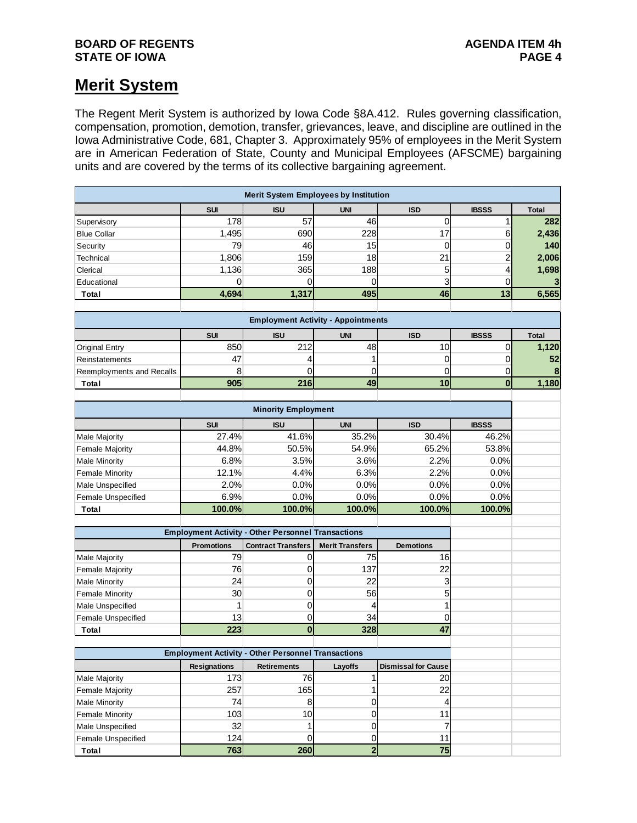#### **BOARD OF REGENTS**<br>STATE OF IOWA **AGENDA ITEM 4h STATE OF IOWA**

### **Merit System**

The Regent Merit System is authorized by Iowa Code §8A.412. Rules governing classification, compensation, promotion, demotion, transfer, grievances, leave, and discipline are outlined in the Iowa Administrative Code, 681, Chapter 3. Approximately 95% of employees in the Merit System are in American Federation of State, County and Municipal Employees (AFSCME) bargaining units and are covered by the terms of its collective bargaining agreement.

| <b>Merit System Employees by Institution</b> |                                                           |                                                           |                         |                            |                         |              |  |
|----------------------------------------------|-----------------------------------------------------------|-----------------------------------------------------------|-------------------------|----------------------------|-------------------------|--------------|--|
|                                              | <b>SUI</b>                                                | <b>ISU</b>                                                | <b>UNI</b>              | <b>ISD</b>                 | <b>IBSSS</b>            | <b>Total</b> |  |
| Supervisory                                  | 178                                                       | 57                                                        | 46                      | $\mathbf 0$                | 1                       | 282          |  |
| <b>Blue Collar</b>                           | 1,495                                                     | 690                                                       | 228                     | 17                         | $\,6$                   | 2,436        |  |
| Security                                     | 79                                                        | 46                                                        | 15                      | 0                          | 0                       | 140          |  |
| <b>Technical</b>                             | 1,806                                                     | 159                                                       | 18                      | 21                         | $\overline{\mathbf{c}}$ | 2,006        |  |
| Clerical                                     | 1,136                                                     | 365                                                       | 188                     | 5                          | 4                       | 1,698        |  |
| Educational                                  | 0                                                         | 0                                                         | $\Omega$                | 3                          | 0                       | $\mathbf{3}$ |  |
| Total                                        | 4,694                                                     | 1,317                                                     | 495                     | 46                         | 13                      | 6,565        |  |
|                                              |                                                           |                                                           |                         |                            |                         |              |  |
|                                              |                                                           | <b>Employment Activity - Appointments</b>                 |                         |                            |                         |              |  |
|                                              | <b>SUI</b>                                                | <b>ISU</b>                                                | <b>UNI</b>              | <b>ISD</b>                 | <b>IBSSS</b>            | <b>Total</b> |  |
| <b>Original Entry</b>                        | 850                                                       | 212                                                       | 48                      | 10                         | $\pmb{0}$               | 1,120        |  |
| Reinstatements                               | 47                                                        | 4                                                         | 1                       | 0                          | 0                       | 52           |  |
| Reemployments and Recalls                    | 8                                                         | 0                                                         | 0                       | 0                          | 0                       | 8            |  |
| Total                                        | 905                                                       | 216                                                       | 49                      | 10                         | $\bf{0}$                | 1,180        |  |
|                                              |                                                           |                                                           |                         |                            |                         |              |  |
|                                              |                                                           | <b>Minority Employment</b>                                |                         |                            |                         |              |  |
|                                              | <b>SUI</b>                                                | <b>ISU</b>                                                | <b>UNI</b>              | <b>ISD</b>                 | <b>IBSSS</b>            |              |  |
| <b>Male Majority</b>                         | 27.4%                                                     | 41.6%                                                     | 35.2%                   | 30.4%                      | 46.2%                   |              |  |
| <b>Female Majority</b>                       | 44.8%                                                     | 50.5%                                                     | 54.9%                   | 65.2%                      | 53.8%                   |              |  |
| <b>Male Minority</b>                         | 6.8%                                                      | 3.5%                                                      | 3.6%                    | 2.2%                       | 0.0%                    |              |  |
| <b>Female Minority</b>                       | 12.1%                                                     | 4.4%                                                      | 6.3%                    | 2.2%                       | 0.0%                    |              |  |
| Male Unspecified                             | 2.0%                                                      | 0.0%                                                      | 0.0%                    | 0.0%                       | 0.0%                    |              |  |
| Female Unspecified                           | 6.9%                                                      | 0.0%                                                      | 0.0%                    | 0.0%                       | 0.0%                    |              |  |
| <b>Total</b>                                 | 100.0%                                                    | 100.0%                                                    | 100.0%                  | 100.0%                     | 100.0%                  |              |  |
|                                              |                                                           |                                                           |                         |                            |                         |              |  |
|                                              |                                                           | <b>Employment Activity - Other Personnel Transactions</b> |                         |                            |                         |              |  |
|                                              | <b>Promotions</b>                                         | <b>Contract Transfers</b>                                 | <b>Merit Transfers</b>  | <b>Demotions</b>           |                         |              |  |
| Male Majority                                | 79                                                        | 0                                                         | 75                      | 16                         |                         |              |  |
| <b>Female Majority</b>                       | 76                                                        | 0                                                         | 137                     | 22                         |                         |              |  |
| <b>Male Minority</b>                         | 24                                                        | 0                                                         | 22                      | 3                          |                         |              |  |
| <b>Female Minority</b>                       | 30                                                        | 0                                                         | 56                      | 5                          |                         |              |  |
| Male Unspecified                             | 1                                                         | 0                                                         | 4                       | 1                          |                         |              |  |
| Female Unspecified                           | 13                                                        | 0                                                         | 34                      | 0                          |                         |              |  |
| <b>Total</b>                                 | 223                                                       | $\bf{0}$                                                  | 328                     | 47                         |                         |              |  |
|                                              |                                                           |                                                           |                         |                            |                         |              |  |
|                                              | <b>Employment Activity - Other Personnel Transactions</b> |                                                           |                         |                            |                         |              |  |
|                                              | <b>Resignations</b>                                       | <b>Retirements</b>                                        | Layoffs                 | <b>Dismissal for Cause</b> |                         |              |  |
| Male Majority                                | 173                                                       | 76                                                        | 1                       | 20                         |                         |              |  |
| <b>Female Majority</b>                       | 257                                                       | 165                                                       | 1                       | 22                         |                         |              |  |
| <b>Male Minority</b>                         | 74                                                        | $\,8\,$                                                   | 0<br>$\overline{0}$     | 4                          |                         |              |  |
| <b>Female Minority</b>                       | 103                                                       | 10                                                        |                         | 11                         |                         |              |  |
| Male Unspecified                             | 32                                                        | 1                                                         | 0                       | 7                          |                         |              |  |
| Female Unspecified                           | 124                                                       | 0                                                         | 0                       | 11                         |                         |              |  |
| Total                                        | 763                                                       | 260                                                       | $\overline{\mathbf{2}}$ | 75                         |                         |              |  |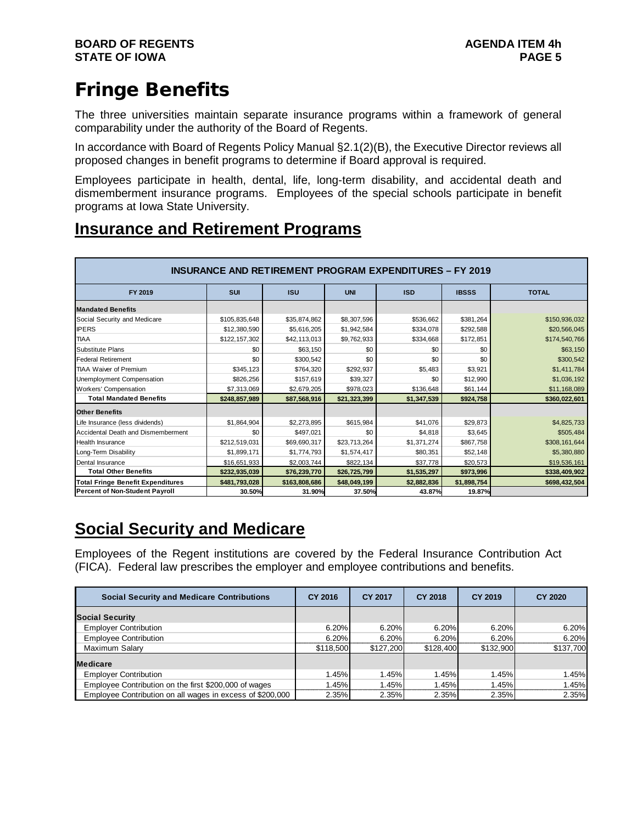# Fringe Benefits

The three universities maintain separate insurance programs within a framework of general comparability under the authority of the Board of Regents.

In accordance with Board of Regents Policy Manual §2.1(2)(B), the Executive Director reviews all proposed changes in benefit programs to determine if Board approval is required.

Employees participate in health, dental, life, long-term disability, and accidental death and dismemberment insurance programs. Employees of the special schools participate in benefit programs at Iowa State University.

## **Insurance and Retirement Programs**

| <b>INSURANCE AND RETIREMENT PROGRAM EXPENDITURES - FY 2019</b> |               |               |              |             |              |               |  |  |
|----------------------------------------------------------------|---------------|---------------|--------------|-------------|--------------|---------------|--|--|
| FY 2019                                                        | <b>SUI</b>    | <b>ISU</b>    | <b>UNI</b>   | <b>ISD</b>  | <b>IBSSS</b> | <b>TOTAL</b>  |  |  |
| <b>Mandated Benefits</b>                                       |               |               |              |             |              |               |  |  |
| Social Security and Medicare                                   | \$105,835,648 | \$35,874,862  | \$8,307,596  | \$536,662   | \$381,264    | \$150,936,032 |  |  |
| <b>IPERS</b>                                                   | \$12,380,590  | \$5,616,205   | \$1,942,584  | \$334,078   | \$292,588    | \$20,566,045  |  |  |
| <b>TIAA</b>                                                    | \$122,157,302 | \$42,113,013  | \$9,762,933  | \$334,668   | \$172,851    | \$174,540,766 |  |  |
| <b>Substitute Plans</b>                                        | \$0           | \$63,150      | \$0          | \$0         | \$0          | \$63,150      |  |  |
| <b>Federal Retirement</b>                                      | \$0           | \$300,542     | \$0          | \$0         | \$0          | \$300,542     |  |  |
| <b>TIAA Waiver of Premium</b>                                  | \$345,123     | \$764,320     | \$292,937    | \$5,483     | \$3,921      | \$1,411,784   |  |  |
| Unemployment Compensation                                      | \$826,256     | \$157,619     | \$39,327     | \$0         | \$12,990     | \$1,036,192   |  |  |
| <b>Workers' Compensation</b>                                   | \$7,313,069   | \$2,679,205   | \$978,023    | \$136,648   | \$61,144     | \$11,168,089  |  |  |
| <b>Total Mandated Benefits</b>                                 | \$248,857,989 | \$87,568,916  | \$21,323,399 | \$1,347,539 | \$924,758    | \$360,022,601 |  |  |
| <b>Other Benefits</b>                                          |               |               |              |             |              |               |  |  |
| Life Insurance (less dividends)                                | \$1,864,904   | \$2,273,895   | \$615,984    | \$41,076    | \$29,873     | \$4,825,733   |  |  |
| Accidental Death and Dismemberment                             | \$0           | \$497,021     | \$0          | \$4,818     | \$3,645      | \$505,484     |  |  |
| <b>Health Insurance</b>                                        | \$212,519,031 | \$69,690,317  | \$23,713,264 | \$1,371,274 | \$867,758    | \$308,161,644 |  |  |
| Long-Term Disability                                           | \$1,899,171   | \$1,774,793   | \$1,574,417  | \$80,351    | \$52,148     | \$5,380,880   |  |  |
| Dental Insurance                                               | \$16,651,933  | \$2,003,744   | \$822,134    | \$37,778    | \$20,573     | \$19,536,161  |  |  |
| <b>Total Other Benefits</b>                                    | \$232,935,039 | \$76,239,770  | \$26,725,799 | \$1,535,297 | \$973,996    | \$338,409,902 |  |  |
| <b>Total Fringe Benefit Expenditures</b>                       | \$481,793,028 | \$163,808,686 | \$48,049,199 | \$2,882,836 | \$1,898,754  | \$698,432,504 |  |  |
| <b>Percent of Non-Student Payroll</b>                          | 30.50%        | 31.90%        | 37.50%       | 43.87%      | 19.87%       |               |  |  |

## **Social Security and Medicare**

Employees of the Regent institutions are covered by the Federal Insurance Contribution Act (FICA). Federal law prescribes the employer and employee contributions and benefits.

| <b>Social Security and Medicare Contributions</b>         | CY 2016   | <b>CY 2017</b> | CY 2018   | CY 2019   | <b>CY 2020</b> |
|-----------------------------------------------------------|-----------|----------------|-----------|-----------|----------------|
| <b>Social Security</b>                                    |           |                |           |           |                |
| <b>Employer Contribution</b>                              | 6.20%     | 6.20%          | 6.20%     | 6.20%     | 6.20%          |
| <b>Employee Contribution</b>                              | 6.20%     | 6.20%          | 6.20%     | 6.20%     | 6.20%          |
| Maximum Salary                                            | \$118,500 | \$127.200      | \$128,400 | \$132,900 | \$137,700      |
| <b>Medicare</b>                                           |           |                |           |           |                |
| <b>Employer Contribution</b>                              | 1.45%     | 1.45%          | 1.45%     | 1.45%     | 1.45%          |
| Employee Contribution on the first \$200,000 of wages     | 1.45%     | 1.45%          | 1.45%     | 1.45%     | 1.45%          |
| Employee Contribution on all wages in excess of \$200,000 | 2.35%     | 2.35%          | 2.35%     | 2.35%     | 2.35%          |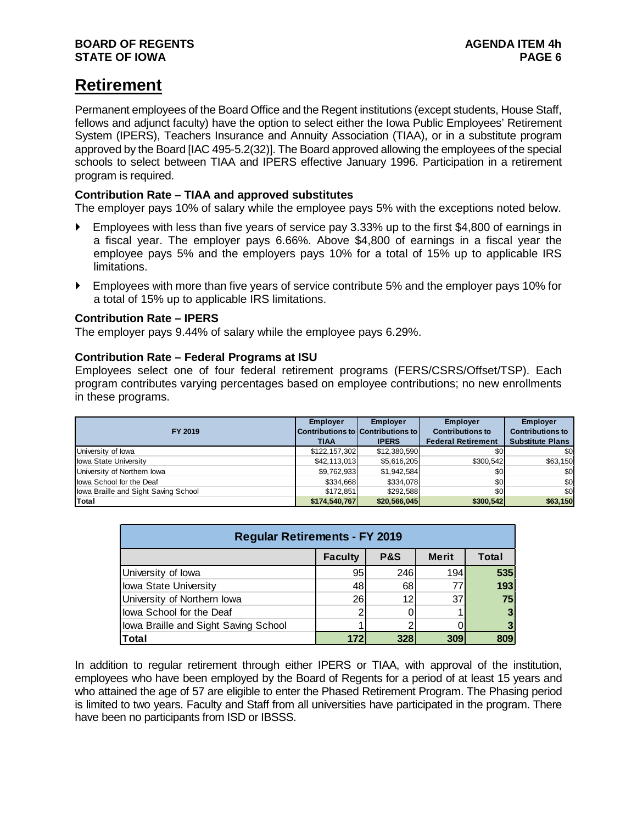## **Retirement**

Permanent employees of the Board Office and the Regent institutions (except students, House Staff, fellows and adjunct faculty) have the option to select either the Iowa Public Employees' Retirement System (IPERS), Teachers Insurance and Annuity Association (TIAA), or in a substitute program approved by the Board [IAC 495-5.2(32)]. The Board approved allowing the employees of the special schools to select between TIAA and IPERS effective January 1996. Participation in a retirement program is required.

#### **Contribution Rate – TIAA and approved substitutes**

The employer pays 10% of salary while the employee pays 5% with the exceptions noted below.

- Employees with less than five years of service pay 3.33% up to the first \$4,800 of earnings in a fiscal year. The employer pays 6.66%. Above \$4,800 of earnings in a fiscal year the employee pays 5% and the employers pays 10% for a total of 15% up to applicable IRS limitations.
- Employees with more than five years of service contribute 5% and the employer pays 10% for a total of 15% up to applicable IRS limitations.

#### **Contribution Rate – IPERS**

The employer pays 9.44% of salary while the employee pays 6.29%.

#### **Contribution Rate – Federal Programs at ISU**

Employees select one of four federal retirement programs (FERS/CSRS/Offset/TSP). Each program contributes varying percentages based on employee contributions; no new enrollments in these programs.

| FY 2019                              | <b>Employer</b><br><b>TIAA</b> | <b>Employer</b><br>Contributions to Contributions to I<br><b>IPERS</b> | <b>Employer</b><br><b>Contributions to</b><br><b>Federal Retirement</b> | <b>Employer</b><br><b>Contributions to</b><br><b>Substitute Plans</b> |
|--------------------------------------|--------------------------------|------------------------------------------------------------------------|-------------------------------------------------------------------------|-----------------------------------------------------------------------|
| University of lowa                   | \$122,157,302                  | \$12,380,590                                                           | \$0                                                                     | \$0                                                                   |
| <b>Iowa State University</b>         | \$42,113,013                   | \$5,616,205                                                            | \$300,542                                                               | \$63,150                                                              |
| University of Northern Iowa          | \$9,762,933                    | \$1,942,584                                                            | \$0                                                                     | \$0                                                                   |
| lowa School for the Deaf             | \$334,668                      | \$334,078                                                              | \$0                                                                     | \$0                                                                   |
| lowa Braille and Sight Saving School | \$172.851                      | \$292.588                                                              | \$0                                                                     | \$0                                                                   |
| Total                                | \$174,540,767                  | \$20,566,045                                                           | \$300,542                                                               | \$63,150                                                              |

| <b>Regular Retirements - FY 2019</b>           |     |     |     |     |  |  |  |  |
|------------------------------------------------|-----|-----|-----|-----|--|--|--|--|
| <b>Merit</b><br>P&S<br><b>Faculty</b><br>Total |     |     |     |     |  |  |  |  |
| University of lowa                             | 95  | 246 | 194 | 535 |  |  |  |  |
| Iowa State University                          | 48  | 68  | 77  | 193 |  |  |  |  |
| University of Northern lowa                    | 26  | 12  | 37  | 75  |  |  |  |  |
| lowa School for the Deaf                       |     |     |     |     |  |  |  |  |
| lowa Braille and Sight Saving School           |     |     |     |     |  |  |  |  |
| Total                                          | 172 | 328 | 309 |     |  |  |  |  |

In addition to regular retirement through either IPERS or TIAA, with approval of the institution, employees who have been employed by the Board of Regents for a period of at least 15 years and who attained the age of 57 are eligible to enter the Phased Retirement Program. The Phasing period is limited to two years. Faculty and Staff from all universities have participated in the program. There have been no participants from ISD or IBSSS.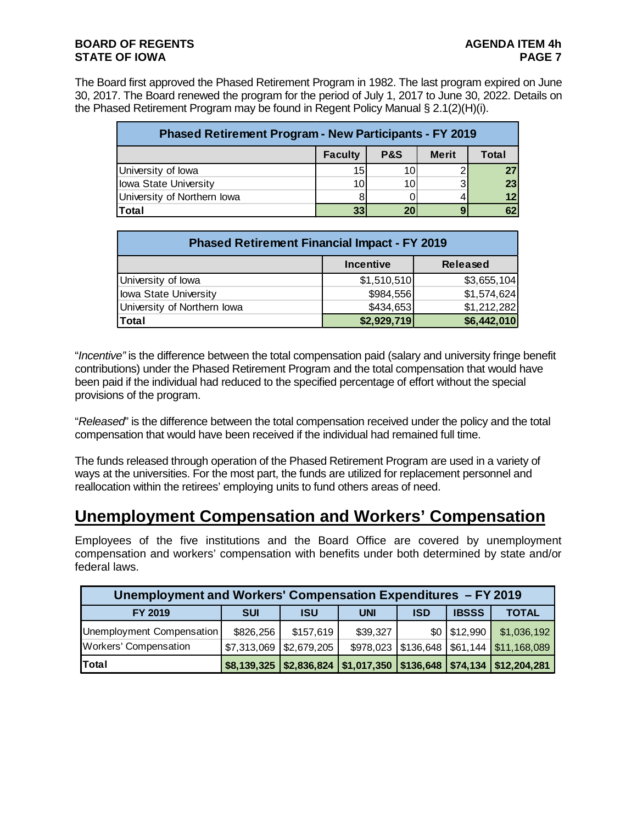The Board first approved the Phased Retirement Program in 1982. The last program expired on June 30, 2017. The Board renewed the program for the period of July 1, 2017 to June 30, 2022. Details on the Phased Retirement Program may be found in Regent Policy Manual § 2.1(2)(H)(i).

| <b>Phased Retirement Program - New Participants - FY 2019</b> |                 |                |              |       |  |  |  |  |
|---------------------------------------------------------------|-----------------|----------------|--------------|-------|--|--|--|--|
|                                                               | <b>Faculty</b>  | <b>P&amp;S</b> | <b>Merit</b> | Total |  |  |  |  |
| University of lowa                                            | 15              | 10             |              | 27    |  |  |  |  |
| <b>Iowa State University</b>                                  | 10 <sup>1</sup> | 10             | ર            | 23    |  |  |  |  |
| University of Northern lowa                                   |                 |                |              | 12    |  |  |  |  |
| <b>Total</b>                                                  |                 | $\overline{2}$ |              | 62    |  |  |  |  |

| <b>Phased Retirement Financial Impact - FY 2019</b> |             |             |  |  |  |  |  |
|-----------------------------------------------------|-------------|-------------|--|--|--|--|--|
| <b>Incentive</b><br><b>Released</b>                 |             |             |  |  |  |  |  |
| University of lowa                                  | \$1,510,510 | \$3,655,104 |  |  |  |  |  |
| Iowa State University                               | \$984,556   | \$1,574,624 |  |  |  |  |  |
| University of Northern Iowa                         | \$434,653   | \$1,212,282 |  |  |  |  |  |
| Total                                               | \$2,929,719 | \$6,442,010 |  |  |  |  |  |

"*Incentive"* is the difference between the total compensation paid (salary and university fringe benefit contributions) under the Phased Retirement Program and the total compensation that would have been paid if the individual had reduced to the specified percentage of effort without the special provisions of the program.

"*Released*" is the difference between the total compensation received under the policy and the total compensation that would have been received if the individual had remained full time.

The funds released through operation of the Phased Retirement Program are used in a variety of ways at the universities. For the most part, the funds are utilized for replacement personnel and reallocation within the retirees' employing units to fund others areas of need.

### **Unemployment Compensation and Workers' Compensation**

Employees of the five institutions and the Board Office are covered by unemployment compensation and workers' compensation with benefits under both determined by state and/or federal laws.

| Unemployment and Workers' Compensation Expenditures - FY 2019 |                                         |            |            |                       |                |                                                                               |  |  |
|---------------------------------------------------------------|-----------------------------------------|------------|------------|-----------------------|----------------|-------------------------------------------------------------------------------|--|--|
| FY 2019                                                       | <b>SUI</b>                              | <b>ISU</b> | <b>UNI</b> | <b>ISD</b>            | <b>IBSSS</b>   | <b>TOTAL</b>                                                                  |  |  |
| Unemployment Compensation                                     | \$826,256                               | \$157,619  | \$39,327   |                       | $$0$ $$12,990$ | \$1,036,192                                                                   |  |  |
| <b>Workers' Compensation</b>                                  | $\vert$ \$7,313,069 $\vert$ \$2,679,205 |            |            | \$978,023   \$136,648 |                | $\sqrt{561,144}$ \ $\sqrt{511,168,089}$                                       |  |  |
| <b>Total</b>                                                  |                                         |            |            |                       |                | \$8,139,325   \$2,836,824   \$1,017,350   \$136,648   \$74,134   \$12,204,281 |  |  |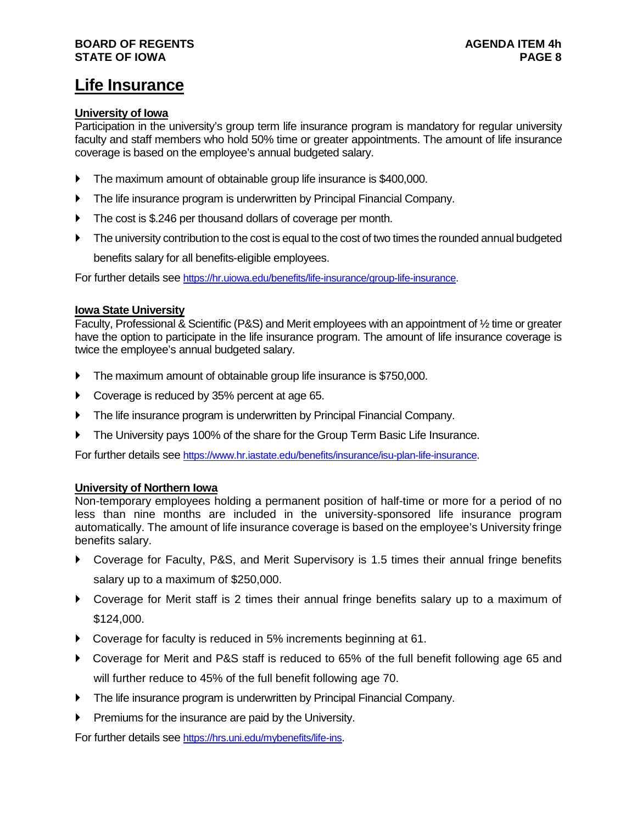#### **BOARD OF REGENTS AGENDA ITEM 4h STATE OF IOWA**

## **Life Insurance**

#### **University of Iowa**

Participation in the university's group term life insurance program is mandatory for regular university faculty and staff members who hold 50% time or greater appointments. The amount of life insurance coverage is based on the employee's annual budgeted salary.

- The maximum amount of obtainable group life insurance is \$400,000.
- The life insurance program is underwritten by Principal Financial Company.
- The cost is \$.246 per thousand dollars of coverage per month.
- The university contribution to the cost is equal to the cost of two times the rounded annual budgeted benefits salary for all benefits-eligible employees.

For further details see [https://hr.uiowa.edu/benefits/life-insurance/group-life-insurance.](https://hr.uiowa.edu/benefits/life-insurance/group-life-insurance)

#### **Iowa State University**

Faculty, Professional & Scientific (P&S) and Merit employees with an appointment of ½ time or greater have the option to participate in the life insurance program. The amount of life insurance coverage is twice the employee's annual budgeted salary.

- The maximum amount of obtainable group life insurance is \$750,000.
- ▶ Coverage is reduced by 35% percent at age 65.
- The life insurance program is underwritten by Principal Financial Company.
- The University pays 100% of the share for the Group Term Basic Life Insurance.

For further details see [https://www.hr.iastate.edu/benefits/insurance/isu-plan-life-insurance.](https://www.hr.iastate.edu/benefits/insurance/isu-plan-life-insurance)

#### **University of Northern Iowa**

Non-temporary employees holding a permanent position of half-time or more for a period of no less than nine months are included in the university-sponsored life insurance program automatically. The amount of life insurance coverage is based on the employee's University fringe benefits salary.

- Coverage for Faculty, P&S, and Merit Supervisory is 1.5 times their annual fringe benefits salary up to a maximum of \$250,000.
- Coverage for Merit staff is 2 times their annual fringe benefits salary up to a maximum of \$124,000.
- Coverage for faculty is reduced in 5% increments beginning at 61.
- Coverage for Merit and P&S staff is reduced to 65% of the full benefit following age 65 and will further reduce to 45% of the full benefit following age 70.
- **The life insurance program is underwritten by Principal Financial Company.**
- $\blacktriangleright$  Premiums for the insurance are paid by the University.

For further details see [https://hrs.uni.edu/mybenefits/life-ins.](https://hrs.uni.edu/mybenefits/life-ins)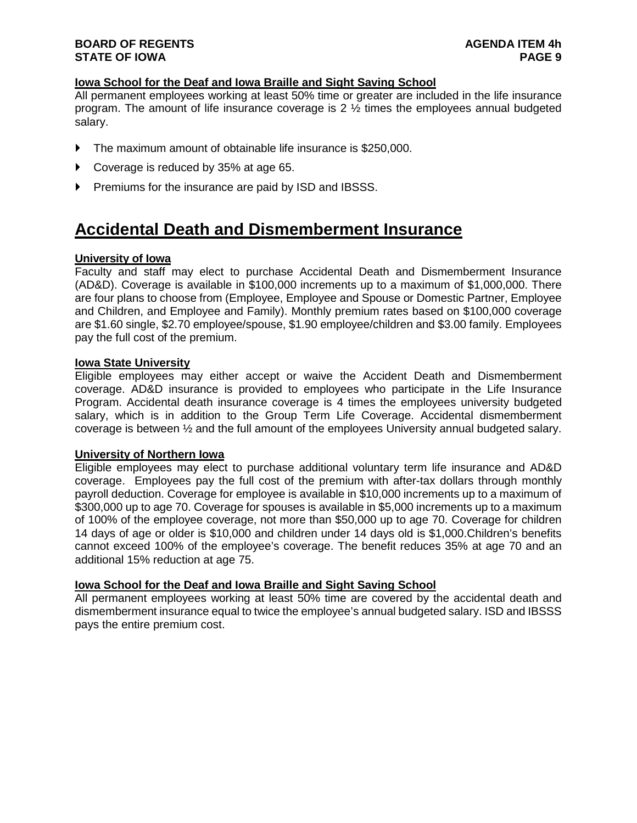#### **BOARD OF REGENTS AGENDA ITEM 4h STATE OF IOWA**

#### **Iowa School for the Deaf and Iowa Braille and Sight Saving School**

All permanent employees working at least 50% time or greater are included in the life insurance program. The amount of life insurance coverage is 2 ½ times the employees annual budgeted salary.

- The maximum amount of obtainable life insurance is \$250,000.
- Coverage is reduced by 35% at age 65.
- **Premiums for the insurance are paid by ISD and IBSSS.**

### **Accidental Death and Dismemberment Insurance**

#### **University of Iowa**

Faculty and staff may elect to purchase Accidental Death and Dismemberment Insurance (AD&D). Coverage is available in \$100,000 increments up to a maximum of \$1,000,000. There are four plans to choose from (Employee, Employee and Spouse or Domestic Partner, Employee and Children, and Employee and Family). Monthly premium rates based on \$100,000 coverage are \$1.60 single, \$2.70 employee/spouse, \$1.90 employee/children and \$3.00 family. Employees pay the full cost of the premium.

#### **Iowa State University**

Eligible employees may either accept or waive the Accident Death and Dismemberment coverage. AD&D insurance is provided to employees who participate in the Life Insurance Program. Accidental death insurance coverage is 4 times the employees university budgeted salary, which is in addition to the Group Term Life Coverage. Accidental dismemberment coverage is between ½ and the full amount of the employees University annual budgeted salary.

#### **University of Northern Iowa**

Eligible employees may elect to purchase additional voluntary term life insurance and AD&D coverage. Employees pay the full cost of the premium with after-tax dollars through monthly payroll deduction. Coverage for employee is available in \$10,000 increments up to a maximum of \$300,000 up to age 70. Coverage for spouses is available in \$5,000 increments up to a maximum of 100% of the employee coverage, not more than \$50,000 up to age 70. Coverage for children 14 days of age or older is \$10,000 and children under 14 days old is \$1,000.Children's benefits cannot exceed 100% of the employee's coverage. The benefit reduces 35% at age 70 and an additional 15% reduction at age 75.

#### **Iowa School for the Deaf and Iowa Braille and Sight Saving School**

All permanent employees working at least 50% time are covered by the accidental death and dismemberment insurance equal to twice the employee's annual budgeted salary. ISD and IBSSS pays the entire premium cost.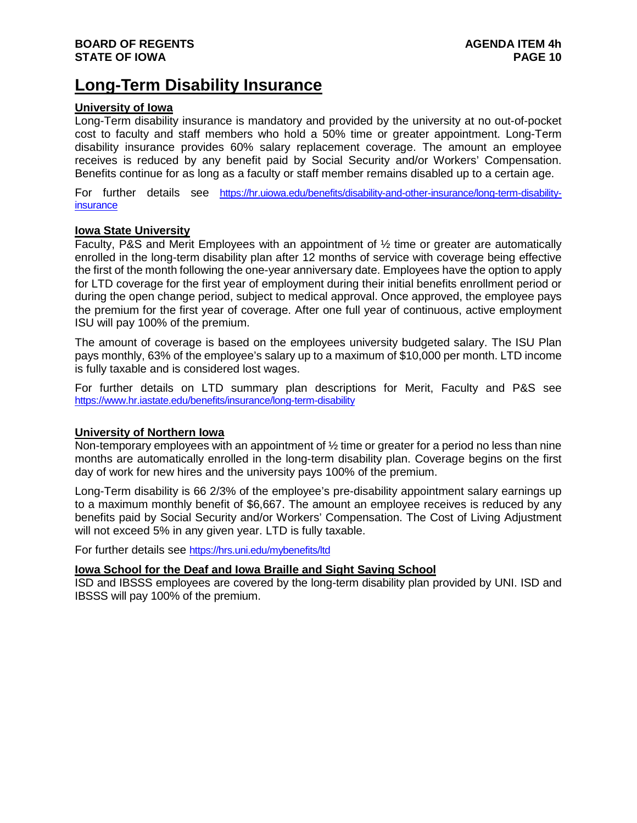### **Long-Term Disability Insurance**

#### **University of Iowa**

Long-Term disability insurance is mandatory and provided by the university at no out-of-pocket cost to faculty and staff members who hold a 50% time or greater appointment. Long-Term disability insurance provides 60% salary replacement coverage. The amount an employee receives is reduced by any benefit paid by Social Security and/or Workers' Compensation. Benefits continue for as long as a faculty or staff member remains disabled up to a certain age.

For further details see [https://hr.uiowa.edu/benefits/disability-and-other-insurance/long-term-disability](https://hr.uiowa.edu/benefits/disability-and-other-insurance/long-term-disability-insurance)[insurance](https://hr.uiowa.edu/benefits/disability-and-other-insurance/long-term-disability-insurance)

#### **Iowa State University**

Faculty, P&S and Merit Employees with an appointment of ½ time or greater are automatically enrolled in the long-term disability plan after 12 months of service with coverage being effective the first of the month following the one-year anniversary date. Employees have the option to apply for LTD coverage for the first year of employment during their initial benefits enrollment period or during the open change period, subject to medical approval. Once approved, the employee pays the premium for the first year of coverage. After one full year of continuous, active employment ISU will pay 100% of the premium.

The amount of coverage is based on the employees university budgeted salary. The ISU Plan pays monthly, 63% of the employee's salary up to a maximum of \$10,000 per month. LTD income is fully taxable and is considered lost wages.

For further details on LTD summary plan descriptions for Merit, Faculty and P&S see <https://www.hr.iastate.edu/benefits/insurance/long-term-disability>

#### **University of Northern Iowa**

Non-temporary employees with an appointment of  $\frac{1}{2}$  time or greater for a period no less than nine months are automatically enrolled in the long-term disability plan. Coverage begins on the first day of work for new hires and the university pays 100% of the premium.

Long-Term disability is 66 2/3% of the employee's pre-disability appointment salary earnings up to a maximum monthly benefit of \$6,667. The amount an employee receives is reduced by any benefits paid by Social Security and/or Workers' Compensation. The Cost of Living Adjustment will not exceed 5% in any given year. LTD is fully taxable.

For further details see<https://hrs.uni.edu/mybenefits/ltd>

#### **Iowa School for the Deaf and Iowa Braille and Sight Saving School**

ISD and IBSSS employees are covered by the long-term disability plan provided by UNI. ISD and IBSSS will pay 100% of the premium.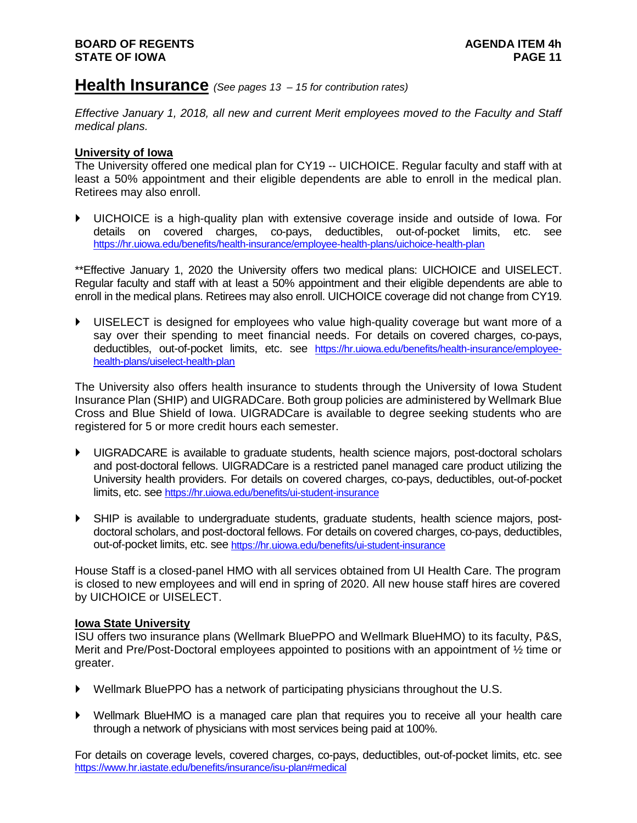#### **Health Insurance** *(See pages 13 – <sup>15</sup> for contribution rates)*

*Effective January 1, 2018, all new and current Merit employees moved to the Faculty and Staff medical plans.* 

#### **University of Iowa**

The University offered one medical plan for CY19 -- UICHOICE. Regular faculty and staff with at least a 50% appointment and their eligible dependents are able to enroll in the medical plan. Retirees may also enroll.

 UICHOICE is a high-quality plan with extensive coverage inside and outside of Iowa. For details on covered charges, co-pays, deductibles, out-of-pocket limits, etc. see <https://hr.uiowa.edu/benefits/health-insurance/employee-health-plans/uichoice-health-plan>

\*\*Effective January 1, 2020 the University offers two medical plans: UICHOICE and UISELECT. Regular faculty and staff with at least a 50% appointment and their eligible dependents are able to enroll in the medical plans. Retirees may also enroll. UICHOICE coverage did not change from CY19.

 UISELECT is designed for employees who value high-quality coverage but want more of a say over their spending to meet financial needs. For details on covered charges, co-pays, deductibles, out-of-pocket limits, etc. see [https://hr.uiowa.edu/benefits/health-insurance/employee](https://hr.uiowa.edu/benefits/health-insurance/employee-health-plans/uiselect-health-plan)[health-plans/uiselect-health-plan](https://hr.uiowa.edu/benefits/health-insurance/employee-health-plans/uiselect-health-plan)

The University also offers health insurance to students through the University of Iowa Student Insurance Plan (SHIP) and UIGRADCare. Both group policies are administered by Wellmark Blue Cross and Blue Shield of Iowa. UIGRADCare is available to degree seeking students who are registered for 5 or more credit hours each semester.

- UIGRADCARE is available to graduate students, health science majors, post-doctoral scholars and post-doctoral fellows. UIGRADCare is a restricted panel managed care product utilizing the University health providers. For details on covered charges, co-pays, deductibles, out-of-pocket limits, etc. se[e https://hr.uiowa.edu/benefits/ui-student-insurance](https://hr.uiowa.edu/benefits/ui-student-insurance)
- SHIP is available to undergraduate students, graduate students, health science majors, postdoctoral scholars, and post-doctoral fellows. For details on covered charges, co-pays, deductibles, out-of-pocket limits, etc. see<https://hr.uiowa.edu/benefits/ui-student-insurance>

House Staff is a closed-panel HMO with all services obtained from UI Health Care. The program is closed to new employees and will end in spring of 2020. All new house staff hires are covered by UICHOICE or UISELECT.

#### **Iowa State University**

ISU offers two insurance plans (Wellmark BluePPO and Wellmark BlueHMO) to its faculty, P&S, Merit and Pre/Post-Doctoral employees appointed to positions with an appointment of ½ time or greater.

- Wellmark BluePPO has a network of participating physicians throughout the U.S.
- Wellmark BlueHMO is a managed care plan that requires you to receive all your health care through a network of physicians with most services being paid at 100%.

For details on coverage levels, covered charges, co-pays, deductibles, out-of-pocket limits, etc. see <https://www.hr.iastate.edu/benefits/insurance/isu-plan#medical>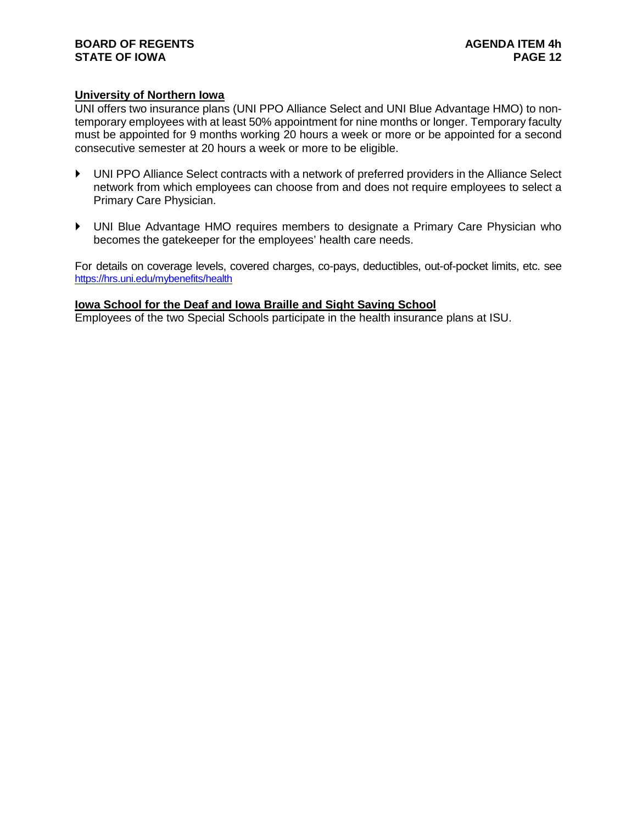#### **BOARD OF REGENTS**<br> **BOARD OF REGENTS**<br> **BOARD OF IOWA**<br>
PAGE 12 **STATE OF IOWA**

#### **University of Northern Iowa**

UNI offers two insurance plans (UNI PPO Alliance Select and UNI Blue Advantage HMO) to nontemporary employees with at least 50% appointment for nine months or longer. Temporary faculty must be appointed for 9 months working 20 hours a week or more or be appointed for a second consecutive semester at 20 hours a week or more to be eligible.

- UNI PPO Alliance Select contracts with a network of preferred providers in the Alliance Select network from which employees can choose from and does not require employees to select a Primary Care Physician.
- UNI Blue Advantage HMO requires members to designate a Primary Care Physician who becomes the gatekeeper for the employees' health care needs.

For details on coverage levels, covered charges, co-pays, deductibles, out-of-pocket limits, etc. see <https://hrs.uni.edu/mybenefits/health>

#### **Iowa School for the Deaf and Iowa Braille and Sight Saving School**

Employees of the two Special Schools participate in the health insurance plans at ISU.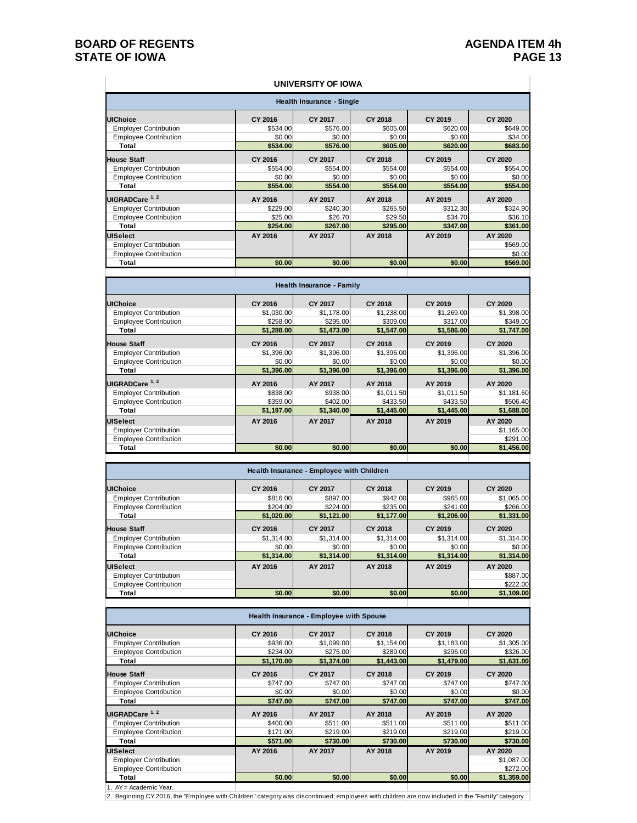#### **BOARD OF REGENTS**<br> **BOARD OF REGENTS**<br> **BOARD OF IOWA**<br>
PAGE 13 **STATE OF IOWA**

#### **UNIVERSITY OF IOWA**

| <b>Health Insurance - Single</b> |          |          |          |          |                |  |  |
|----------------------------------|----------|----------|----------|----------|----------------|--|--|
| <b>UIChoice</b>                  | CY 2016  | CY 2017  | CY 2018  | CY 2019  | <b>CY 2020</b> |  |  |
| <b>Employer Contribution</b>     | \$534.00 | \$576.00 | \$605.00 | \$620.00 | \$649.00       |  |  |
| <b>Employee Contribution</b>     | \$0.00   | \$0.00   | \$0.00   | \$0.00   | \$34.00        |  |  |
| Total                            | \$534.00 | \$576.00 | \$605.00 | \$620.00 | \$683.00       |  |  |
| <b>House Staff</b>               | CY 2016  | CY 2017  | CY 2018  | CY 2019  | <b>CY 2020</b> |  |  |
| <b>Employer Contribution</b>     | \$554.00 | \$554.00 | \$554.00 | \$554.00 | \$554.00       |  |  |
| <b>Employee Contribution</b>     | \$0.00   | \$0.00   | \$0.00   | \$0.00   | \$0.00         |  |  |
| Total                            | \$554.00 | \$554.00 | \$554.00 | \$554.00 | \$554.00       |  |  |
| UIGRADCare <sup>1, 2</sup>       | AY 2016  | AY 2017  | AY 2018  | AY 2019  | AY 2020        |  |  |
| <b>Employer Contribution</b>     | \$229.00 | \$240.30 | \$265.50 | \$312.30 | \$324.90       |  |  |
| <b>Employee Contribution</b>     | \$25.00  | \$26.70  | \$29.50  | \$34.70  | \$36.10        |  |  |
| Total                            | \$254.00 | \$267.00 | \$295.00 | \$347.00 | \$361.00       |  |  |
| <b>UISelect</b>                  | AY 2016  | AY 2017  | AY 2018  | AY 2019  | AY 2020        |  |  |
| <b>Employer Contribution</b>     |          |          |          |          | \$569.00       |  |  |
| <b>Employee Contribution</b>     |          |          |          |          | \$0.00         |  |  |
| Total                            | \$0.00   | \$0.00   | \$0.00   | \$0.00   | \$569.00       |  |  |

| <b>Health Insurance - Family</b> |            |                |            |            |                |  |  |
|----------------------------------|------------|----------------|------------|------------|----------------|--|--|
| <b>UIChoice</b>                  | CY 2016    | CY 2017        | CY 2018    | CY 2019    | <b>CY 2020</b> |  |  |
| <b>Employer Contribution</b>     | \$1,030.00 | \$1,178.00     | \$1,238.00 | \$1,269.00 | \$1,398.00     |  |  |
| <b>Employee Contribution</b>     | \$258.00   | \$295.00       | \$309.00   | \$317.00   | \$349.00       |  |  |
| Total                            | \$1,288.00 | \$1,473.00     | \$1,547.00 | \$1,586.00 | \$1,747.00     |  |  |
| <b>House Staff</b>               | CY 2016    | <b>CY 2017</b> | CY 2018    | CY 2019    | <b>CY 2020</b> |  |  |
| <b>Employer Contribution</b>     | \$1,396.00 | \$1,396.00     | \$1,396.00 | \$1,396.00 | \$1,396.00     |  |  |
| <b>Employee Contribution</b>     | \$0.00     | \$0.00         | \$0.00     | \$0.00     | \$0.00         |  |  |
| Total                            | \$1,396.00 | \$1,396.00     | \$1,396.00 | \$1,396.00 | \$1,396.00     |  |  |
| UIGRADCare <sup>1, 2</sup>       | AY 2016    | AY 2017        | AY 2018    | AY 2019    | AY 2020        |  |  |
| <b>Employer Contribution</b>     | \$838.00   | \$938.00       | \$1,011.50 | \$1,011.50 | \$1,181.60     |  |  |
| <b>Employee Contribution</b>     | \$359.00   | \$402.00       | \$433.50   | \$433.50   | \$506.40       |  |  |
| Total                            | \$1,197.00 | \$1,340.00     | \$1,445.00 | \$1,445.00 | \$1,688.00     |  |  |
| <b>UISelect</b>                  | AY 2016    | AY 2017        | AY 2018    | AY 2019    | AY 2020        |  |  |
| <b>Employer Contribution</b>     |            |                |            |            | \$1,165.00     |  |  |
| <b>Employee Contribution</b>     |            |                |            |            | \$291.00       |  |  |
| Total                            | \$0.00     | \$0.00         | \$0.00     | \$0.00     | \$1,456.00     |  |  |
|                                  |            |                |            |            |                |  |  |

| Health Insurance - Employee with Children |            |            |            |            |            |  |  |  |
|-------------------------------------------|------------|------------|------------|------------|------------|--|--|--|
| <b>UIChoice</b>                           | CY 2016    | CY 2017    | CY 2018    | CY 2019    | CY 2020    |  |  |  |
| <b>Employer Contribution</b>              | \$816.00   | \$897.00   | \$942.00   | \$965.00   | \$1,065.00 |  |  |  |
| <b>Employee Contribution</b>              | \$204.00   | \$224.00   | \$235.00   | \$241.00   | \$266.00   |  |  |  |
| Total                                     | \$1,020.00 | \$1,121.00 | \$1,177.00 | \$1,206.00 | \$1,331.00 |  |  |  |
| <b>House Staff</b>                        | CY 2016    | CY 2017    | CY 2018    | CY 2019    | CY 2020    |  |  |  |
| <b>Employer Contribution</b>              | \$1,314.00 | \$1,314.00 | \$1,314.00 | \$1,314.00 | \$1,314.00 |  |  |  |
| <b>Emplovee Contribution</b>              | \$0.00     | \$0.00     | \$0.00     | \$0.00     | \$0.00     |  |  |  |
| Total                                     | \$1.314.00 | \$1,314.00 | \$1,314.00 | \$1,314.00 | \$1,314.00 |  |  |  |
| <b>UISelect</b>                           | AY 2016    | AY 2017    | AY 2018    | AY 2019    | AY 2020    |  |  |  |
| <b>Employer Contribution</b>              |            |            |            |            | \$887.00   |  |  |  |
| <b>Employee Contribution</b>              |            |            |            |            | \$222.00   |  |  |  |
| Total                                     | \$0.00     | \$0.00     | \$0.00     | \$0.00     | \$1,109.00 |  |  |  |

| Health Insurance - Employee with Spouse |            |            |            |            |                |  |  |
|-----------------------------------------|------------|------------|------------|------------|----------------|--|--|
| <b>UIChoice</b>                         | CY 2016    | CY 2017    | CY 2018    | CY 2019    | <b>CY 2020</b> |  |  |
| <b>Employer Contribution</b>            | \$936.00   | \$1,099.00 | \$1,154.00 | \$1,183.00 | \$1,305.00     |  |  |
| <b>Employee Contribution</b>            | \$234.00   | \$275.00   | \$289.00   | \$296.00   | \$326.00       |  |  |
| Total                                   | \$1,170.00 | \$1,374.00 | \$1,443.00 | \$1,479.00 | \$1,631.00     |  |  |
| <b>House Staff</b>                      | CY 2016    | CY 2017    | CY 2018    | CY 2019    | CY 2020        |  |  |
| <b>Employer Contribution</b>            | \$747.00   | \$747.00   | \$747.00   | \$747.00   | \$747.00       |  |  |
| <b>Employee Contribution</b>            | \$0.00     | \$0.00     | \$0.00     | \$0.00     | \$0.00         |  |  |
| Total                                   | \$747.00   | \$747.00   | \$747.00   | \$747.00   | \$747.00       |  |  |
| UIGRADCare <sup>1, 2</sup>              | AY 2016    | AY 2017    | AY 2018    | AY 2019    | AY 2020        |  |  |
| <b>Employer Contribution</b>            | \$400.00   | \$511.00   | \$511.00   | \$511.00   | \$511.00       |  |  |
| <b>Employee Contribution</b>            | \$171.00   | \$219.00   | \$219.00   | \$219.00   | \$219.00       |  |  |
| Total                                   | \$571.00   | \$730.00   | \$730,00   | \$730.00   | \$730.00       |  |  |
| <b>UISelect</b>                         | AY 2016    | AY 2017    | AY 2018    | AY 2019    | AY 2020        |  |  |
| <b>Employer Contribution</b>            |            |            |            |            | \$1,087.00     |  |  |
| <b>Employee Contribution</b>            |            |            |            |            | \$272.00       |  |  |
| Total                                   | \$0.00     | \$0.00     | \$0.00     | \$0.00     | \$1,359.00     |  |  |
| 1. AY = Academic Year.                  |            |            |            |            |                |  |  |

2. Beginning CY 2016, the "Employee with Children" category was discontinued; employees with children are now included in the "Family" category.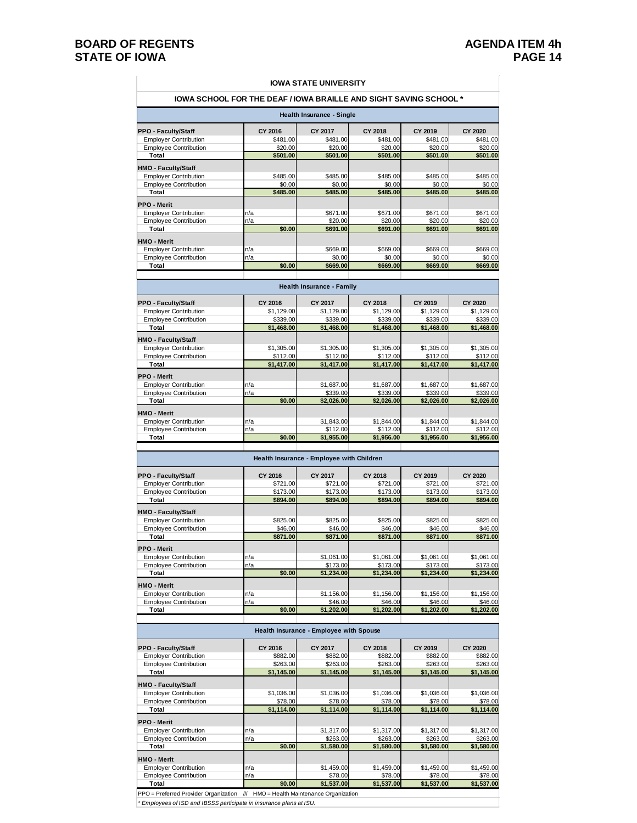#### **BOARD OF REGENTS**<br>**BOARD OF REGENTS AGENDA ITEM 4h**<br>**BOARD OF IOWA STATE OF IOWA**

#### **IOWA STATE UNIVERSITY**

| <b>IOWA SCHOOL FOR THE DEAF / IOWA BRAILLE AND SIGHT SAVING SCHOOL *</b> |          |          |          |          |          |  |  |  |
|--------------------------------------------------------------------------|----------|----------|----------|----------|----------|--|--|--|
| Health Insurance - Single                                                |          |          |          |          |          |  |  |  |
| <b>PPO - Faculty/Staff</b>                                               | CY 2016  | CY 2017  | CY 2018  | CY 2019  | CY 2020  |  |  |  |
| <b>Employer Contribution</b>                                             | \$481.00 | \$481.00 | \$481.00 | \$481.00 | \$481.00 |  |  |  |
| <b>Employee Contribution</b>                                             | \$20.00  | \$20.00  | \$20.00  | \$20.00  | \$20.00  |  |  |  |
| Total                                                                    | \$501.00 | \$501.00 | \$501.00 | \$501.00 | \$501.00 |  |  |  |
| <b>HMO - Faculty/Staff</b>                                               |          |          |          |          |          |  |  |  |
| <b>Employer Contribution</b>                                             | \$485.00 | \$485.00 | \$485.00 | \$485.00 | \$485.00 |  |  |  |
| <b>Employee Contribution</b>                                             | \$0.00   | \$0.00   | \$0.00   | \$0.00   | \$0.00   |  |  |  |
| Total                                                                    | \$485.00 | \$485.00 | \$485.00 | \$485.00 | \$485.00 |  |  |  |
| <b>PPO - Merit</b>                                                       |          |          |          |          |          |  |  |  |
| <b>Employer Contribution</b>                                             | n/a      | \$671.00 | \$671.00 | \$671.00 | \$671.00 |  |  |  |
| <b>Employee Contribution</b>                                             | n/a      | \$20.00  | \$20.00  | \$20.00  | \$20.00  |  |  |  |
| Total                                                                    | \$0.00   | \$691.00 | \$691.00 | \$691.00 | \$691.00 |  |  |  |
| <b>HMO - Merit</b>                                                       |          |          |          |          |          |  |  |  |
| <b>Employer Contribution</b>                                             | n/a      | \$669.00 | \$669.00 | \$669.00 | \$669.00 |  |  |  |
| <b>Employee Contribution</b>                                             | n/a      | \$0.00   | \$0.00   | \$0.00   | \$0.00   |  |  |  |
| Total                                                                    | \$0.00   | \$669.00 | \$669.00 | \$669.00 | \$669.00 |  |  |  |

| <b>PPO - Faculty/Staff</b>   | CY 2016    | CY 2017    | CY 2018    | CY 2019    | CY 2020    |
|------------------------------|------------|------------|------------|------------|------------|
| <b>Employer Contribution</b> | \$1,129.00 | \$1,129.00 | \$1,129.00 | \$1,129.00 | \$1,129.00 |
| <b>Employee Contribution</b> | \$339.00   | \$339.00   | \$339.00   | \$339.00   | \$339.00   |
| Total                        | \$1,468.00 | \$1,468.00 | \$1,468.00 | \$1,468.00 | \$1,468.00 |
| <b>HMO - Faculty/Staff</b>   |            |            |            |            |            |
| <b>Employer Contribution</b> | \$1,305.00 | \$1,305.00 | \$1,305.00 | \$1,305.00 | \$1,305.00 |
| <b>Employee Contribution</b> | \$112.00   | \$112.00   | \$112.00   | \$112.00   | \$112.00   |
| Total                        | \$1.417.00 | \$1,417.00 | \$1,417.00 | \$1.417.00 | \$1,417.00 |
| <b>PPO - Merit</b>           |            |            |            |            |            |
| <b>Employer Contribution</b> | n/a        | \$1,687.00 | \$1,687.00 | \$1,687.00 | \$1,687.00 |
| <b>Employee Contribution</b> | n/a        | \$339.00   | \$339.00   | \$339.00   | \$339.00   |
| Total                        | \$0.00     | \$2,026.00 | \$2,026.00 | \$2,026.00 | \$2,026.00 |
| <b>HMO - Merit</b>           |            |            |            |            |            |
| <b>Employer Contribution</b> | n/a        | \$1,843.00 | \$1,844.00 | \$1,844.00 | \$1,844.00 |
| <b>Employee Contribution</b> | n/a        | \$112.00   | \$112.00   | \$112.00   | \$112.00   |
| Total                        | \$0.00     | \$1,955.00 | \$1.956.00 | \$1.956.00 | \$1,956.00 |

| <b>PPO - Faculty/Staff</b>   | CY 2016  | CY 2017    | CY 2018    | CY 2019    | CY 2020    |
|------------------------------|----------|------------|------------|------------|------------|
| <b>Employer Contribution</b> | \$721.00 | \$721.00   | \$721.00   | \$721.00   | \$721.00   |
| <b>Employee Contribution</b> | \$173.00 | \$173.00   | \$173.00   | \$173.00   | \$173.00   |
| Total                        | \$894.00 | \$894.00   | \$894.00   | \$894.00   | \$894.00   |
| <b>HMO - Faculty/Staff</b>   |          |            |            |            |            |
| <b>Employer Contribution</b> | \$825.00 | \$825.00   | \$825.00   | \$825.00   | \$825.00   |
| <b>Employee Contribution</b> | \$46.00  | \$46.00    | \$46.00    | \$46.00    | \$46.00    |
| Total                        | \$871.00 | \$871.00   | \$871.00   | \$871.00   | \$871.00   |
| <b>PPO - Merit</b>           |          |            |            |            |            |
| <b>Employer Contribution</b> | n/a      | \$1,061.00 | \$1,061.00 | \$1.061.00 | \$1,061.00 |
| <b>Employee Contribution</b> | n/a      | \$173.00   | \$173.00   | \$173.00   | \$173.00   |
| Total                        | \$0.00   | \$1,234.00 | \$1.234.00 | \$1.234.00 | \$1,234.00 |
| <b>HMO - Merit</b>           |          |            |            |            |            |
| <b>Employer Contribution</b> | n/a      | \$1,156.00 | \$1,156.00 | \$1,156.00 | \$1,156.00 |
| <b>Employee Contribution</b> | n/a      | \$46.00    | \$46.00    | \$46.00    | \$46.00    |
| Total                        | \$0.00   | \$1,202.00 | \$1,202.00 | \$1,202.00 | \$1,202.00 |

| Health Insurance - Employee with Spouse |            |            |                                       |            |            |  |  |  |  |  |
|-----------------------------------------|------------|------------|---------------------------------------|------------|------------|--|--|--|--|--|
| <b>PPO - Faculty/Staff</b>              | CY 2016    | CY 2017    | CY 2018                               | CY 2019    | CY 2020    |  |  |  |  |  |
| <b>Employer Contribution</b>            | \$882.00   | \$882.00   | \$882.00                              | \$882.00   | \$882.00   |  |  |  |  |  |
| <b>Employee Contribution</b>            | \$263.00   | \$263.00   | \$263.00                              | \$263.00   | \$263.00   |  |  |  |  |  |
| Total                                   | \$1,145.00 | \$1,145.00 | \$1,145.00                            | \$1,145.00 | \$1,145.00 |  |  |  |  |  |
| <b>HMO - Faculty/Staff</b>              |            |            |                                       |            |            |  |  |  |  |  |
| <b>Employer Contribution</b>            | \$1,036.00 | \$1.036.00 | \$1,036,00                            | \$1,036.00 | \$1,036.00 |  |  |  |  |  |
| <b>Employee Contribution</b>            | \$78.00    | \$78.00    | \$78.00                               | \$78.00    | \$78.00    |  |  |  |  |  |
| Total                                   | \$1,114.00 | \$1,114.00 | \$1,114.00                            | \$1,114.00 | \$1,114.00 |  |  |  |  |  |
| <b>PPO - Merit</b>                      |            |            |                                       |            |            |  |  |  |  |  |
| <b>Employer Contribution</b>            | n/a        | \$1,317.00 | \$1,317.00                            | \$1,317.00 | \$1,317.00 |  |  |  |  |  |
| <b>Employee Contribution</b>            | n/a        | \$263.00   | \$263.00                              | \$263.00   | \$263.00   |  |  |  |  |  |
| Total                                   | \$0.00     | \$1,580.00 | \$1,580.00                            | \$1,580.00 | \$1,580.00 |  |  |  |  |  |
| <b>HMO - Merit</b>                      |            |            |                                       |            |            |  |  |  |  |  |
| <b>Employer Contribution</b>            | n/a        | \$1,459.00 | \$1,459.00                            | \$1,459.00 | \$1,459.00 |  |  |  |  |  |
| <b>Employee Contribution</b>            | n/a        | \$78.00    | \$78.00                               | \$78.00    | \$78.00    |  |  |  |  |  |
| Total                                   | \$0.00     | \$1,537.00 | \$1,537.00                            | \$1,537.00 | \$1,537.00 |  |  |  |  |  |
| PPO = Preferred Provider Organization   | III        |            | HMO = Health Maintenance Organization |            |            |  |  |  |  |  |

*\* Employees of ISD and IBSSS participate in insurance plans at ISU.*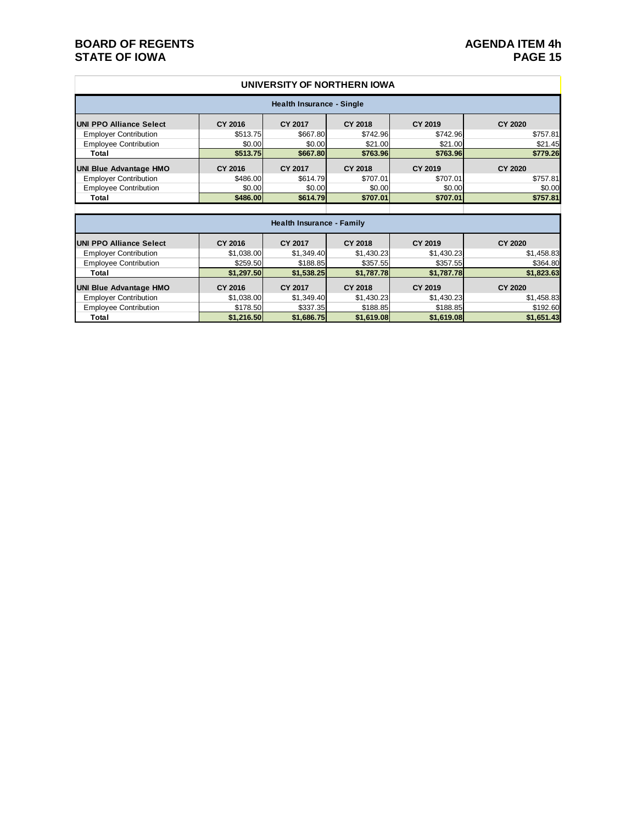#### **BOARD OF REGENTS**<br> **BOARD OF REGENTS**<br> **BOARD OF IOWA**<br>
PAGE 15 **STATE OF IOWA**

#### **UNIVERSITY OF NORTHERN IOWA**

| Health Insurance - Single      |          |          |                |          |                |  |  |  |
|--------------------------------|----------|----------|----------------|----------|----------------|--|--|--|
| <b>UNI PPO Alliance Select</b> | CY 2016  | CY 2017  | <b>CY 2018</b> | CY 2019  | <b>CY 2020</b> |  |  |  |
| <b>Employer Contribution</b>   | \$513.75 | \$667.80 | \$742.96       | \$742.96 | \$757.81       |  |  |  |
| <b>Employee Contribution</b>   | \$0.00   | \$0.00   | \$21.00        | \$21.00  | \$21.45        |  |  |  |
| Total                          | \$513.75 | \$667.80 | \$763.96       | \$763.96 | \$779.26       |  |  |  |
| <b>UNI Blue Advantage HMO</b>  | CY 2016  | CY 2017  | <b>CY 2018</b> | CY 2019  | <b>CY 2020</b> |  |  |  |
| <b>Employer Contribution</b>   | \$486.00 | \$614.79 | \$707.01       | \$707.01 | \$757.81       |  |  |  |
| <b>Employee Contribution</b>   | \$0.00   | \$0.00   | \$0.00         | \$0.00   | \$0.00         |  |  |  |
| Total                          | \$486.00 | \$614.79 | \$707.01       | \$707.01 | \$757.81       |  |  |  |
|                                |          |          |                |          |                |  |  |  |

| <b>Health Insurance - Family</b> |            |                |                |            |                |  |  |  |
|----------------------------------|------------|----------------|----------------|------------|----------------|--|--|--|
| <b>UNI PPO Alliance Select</b>   | CY 2016    | CY 2017        | <b>CY 2018</b> | CY 2019    | <b>CY 2020</b> |  |  |  |
| <b>Employer Contribution</b>     | \$1,038.00 | \$1,349.40     | \$1,430.23     | \$1,430.23 | \$1,458.83     |  |  |  |
| <b>Employee Contribution</b>     | \$259.50   | \$188.85       | \$357.55       | \$357.55   | \$364.80       |  |  |  |
| Total                            | \$1,297.50 | \$1,538.25     | \$1,787.78     | \$1,787.78 | \$1,823.63     |  |  |  |
| <b>UNI Blue Advantage HMO</b>    | CY 2016    | <b>CY 2017</b> | <b>CY 2018</b> | CY 2019    | <b>CY 2020</b> |  |  |  |
| <b>Employer Contribution</b>     | \$1,038.00 | \$1,349.40     | \$1,430.23     | \$1,430.23 | \$1,458.83     |  |  |  |
| <b>Employee Contribution</b>     | \$178.50   | \$337.35       | \$188.85       | \$188.85   | \$192.60       |  |  |  |
| Total                            | \$1,216.50 | \$1,686.75     | \$1,619.08     | \$1,619.08 | \$1,651.43     |  |  |  |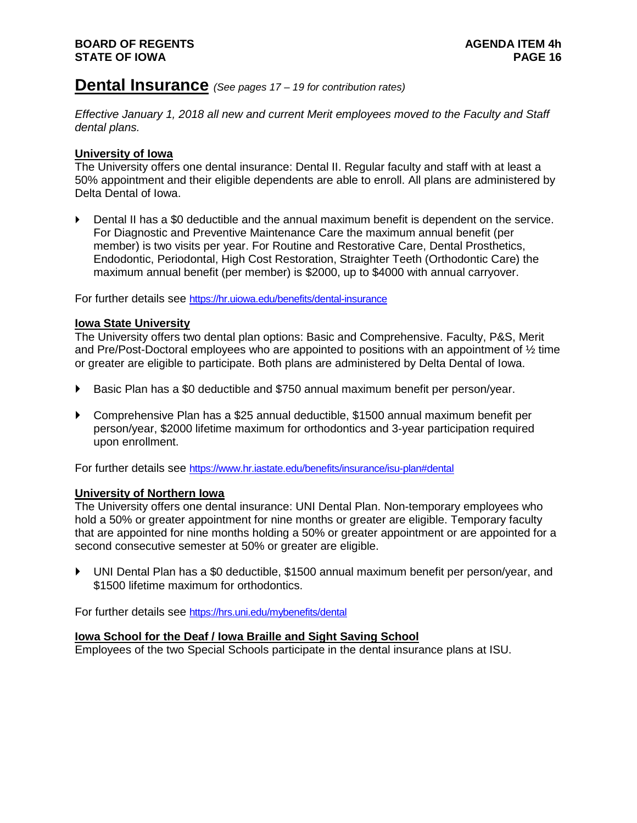#### **Dental Insurance** *(See pages 17 – <sup>19</sup> for contribution rates)*

*Effective January 1, 2018 all new and current Merit employees moved to the Faculty and Staff dental plans.* 

#### **University of Iowa**

The University offers one dental insurance: Dental II. Regular faculty and staff with at least a 50% appointment and their eligible dependents are able to enroll. All plans are administered by Delta Dental of Iowa.

 Dental II has a \$0 deductible and the annual maximum benefit is dependent on the service. For Diagnostic and Preventive Maintenance Care the maximum annual benefit (per member) is two visits per year. For Routine and Restorative Care, Dental Prosthetics, Endodontic, Periodontal, High Cost Restoration, Straighter Teeth (Orthodontic Care) the maximum annual benefit (per member) is \$2000, up to \$4000 with annual carryover.

For further details see<https://hr.uiowa.edu/benefits/dental-insurance>

#### **Iowa State University**

The University offers two dental plan options: Basic and Comprehensive. Faculty, P&S, Merit and Pre/Post-Doctoral employees who are appointed to positions with an appointment of  $\frac{1}{2}$  time or greater are eligible to participate. Both plans are administered by Delta Dental of Iowa.

- ▶ Basic Plan has a \$0 deductible and \$750 annual maximum benefit per person/year.
- Comprehensive Plan has a \$25 annual deductible, \$1500 annual maximum benefit per person/year, \$2000 lifetime maximum for orthodontics and 3-year participation required upon enrollment.

For further details see<https://www.hr.iastate.edu/benefits/insurance/isu-plan#dental>

#### **University of Northern Iowa**

The University offers one dental insurance: UNI Dental Plan. Non-temporary employees who hold a 50% or greater appointment for nine months or greater are eligible. Temporary faculty that are appointed for nine months holding a 50% or greater appointment or are appointed for a second consecutive semester at 50% or greater are eligible.

 UNI Dental Plan has a \$0 deductible, \$1500 annual maximum benefit per person/year, and \$1500 lifetime maximum for orthodontics.

For further details see<https://hrs.uni.edu/mybenefits/dental>

#### **Iowa School for the Deaf / Iowa Braille and Sight Saving School**

Employees of the two Special Schools participate in the dental insurance plans at ISU.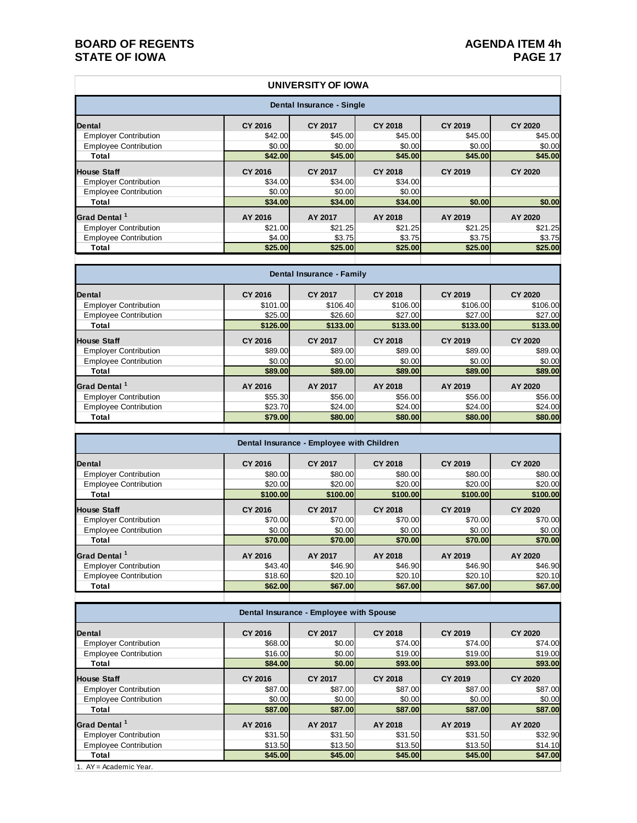#### **BOARD OF REGENTS**<br> **BOARD OF REGENTS**<br> **BOARD OF IOWA**<br> **PAGE 17 STATE OF IOWA**

#### **Dental CY 2016 CY 2017 CY 2018 CY 2019 CY 2020** Employer Contribution <br>
Employee Contribution  $\frac{$42.00}{$0.00}$   $\frac{$45.00}{$0.00}$   $\frac{$45.00}{$0.00}$   $\frac{$45.00}{$0.00}$   $\frac{$45.00}{$0.00}$   $\frac{$45.00}{$0.00}$   $\frac{$45.00}{$0.00}$   $\frac{$45.00}{$0.00}$ Employee Contribution **Total \$42.00 \$45.00 \$45.00 \$45.00 \$45.00 House Staff CY 2016 CY 2017 CY 2018 CY 2019 CY 2020** Employer Contribution **634.00** \$34.00 \$34.00 \$34.00 Employee Contribution  $$0.00$   $$0.00$   $$0.00$   $$0.00$   $$0.00$   $$0.00$   $$0.00$   $$0.00$   $$0.00$   $$0.00$   $$0.00$   $$0.00$   $$0.00$   $$0.00$   $$0.00$   $$0.00$   $$0.00$   $$0.00$   $$0.00$   $$0.00$   $$0.00$   $$0.00$   $$0.00$   $$0.00$   $$0.00$  **Total \$34.00 \$34.00 \$34.00 \$0.00 \$0.00 Grad Dental <sup>1</sup> AY 2016 AY 2017 AY 2018 AY 2019 AY 2020** Employer Contribution Employee Contribution **12.00 \$3.75** \$3.75 \$3.75 \$3.75 \$3.75 \$3.75 \$3.75 \$3.75 \$3.75 \$3.75 \$3.75 \$3.75 \$3.75 \$3.75 \$3.75 \$3.75 \$3.75 \$3.75 \$3.75 \$3.75 \$3.75 \$3.75 \$3.75 \$3.75 \$3.75 \$3.75 \$3.75 \$3.75 \$3.75 \$3.75 \$3.75 \$3.75 **Total \$25.00 \$25.00 \$25.00 \$25.00 \$25.00 UNIVERSITY OF IOWA Dental Insurance - Single**

| Dental Insurance - Family    |          |                |                |          |                |  |  |  |
|------------------------------|----------|----------------|----------------|----------|----------------|--|--|--|
| <b>Dental</b>                | CY 2016  | <b>CY 2017</b> | CY 2018        | CY 2019  | <b>CY 2020</b> |  |  |  |
| <b>Employer Contribution</b> | \$101.00 | \$106.40       | \$106.00       | \$106.00 | \$106.00       |  |  |  |
| <b>Employee Contribution</b> | \$25.00  | \$26.60        | \$27.00        | \$27.00  | \$27.00        |  |  |  |
| Total                        | \$126,00 | \$133,00       | \$133,00       | \$133,00 | \$133.00       |  |  |  |
| <b>House Staff</b>           | CY 2016  | <b>CY 2017</b> | <b>CY 2018</b> | CY 2019  | <b>CY 2020</b> |  |  |  |
| <b>Employer Contribution</b> | \$89.00  | \$89.00        | \$89.00        | \$89.00  | \$89.00        |  |  |  |
| <b>Employee Contribution</b> | \$0.00   | \$0.00         | \$0.00         | \$0.00   | \$0.00         |  |  |  |
| Total                        | \$89,00  | \$89,00        | \$89,00        | \$89.00  | \$89.00        |  |  |  |
| Grad Dental <sup>1</sup>     | AY 2016  | AY 2017        | AY 2018        | AY 2019  | AY 2020        |  |  |  |
| <b>Employer Contribution</b> | \$55.30  | \$56.00        | \$56.00        | \$56.00  | \$56.00        |  |  |  |
| <b>Employee Contribution</b> | \$23.70  | \$24.00        | \$24.00        | \$24.00  | \$24.00        |  |  |  |
| Total                        | \$79.00  | \$80.00        | \$80.00        | \$80.00  | \$80.00        |  |  |  |
|                              |          |                |                |          |                |  |  |  |

| Dental Insurance - Employee with Children |          |                |                |          |                |  |  |  |
|-------------------------------------------|----------|----------------|----------------|----------|----------------|--|--|--|
| <b>Dental</b>                             | CY 2016  | <b>CY 2017</b> | <b>CY 2018</b> | CY 2019  | <b>CY 2020</b> |  |  |  |
| <b>Employer Contribution</b>              | \$80.00  | \$80.00        | \$80.00        | \$80.00  | \$80.00        |  |  |  |
| <b>Employee Contribution</b>              | \$20.00  | \$20.00        | \$20.00        | \$20.00  | \$20.00        |  |  |  |
| Total                                     | \$100.00 | \$100.00       | \$100,00       | \$100,00 | \$100.00       |  |  |  |
| <b>House Staff</b>                        | CY 2016  | <b>CY 2017</b> | <b>CY 2018</b> | CY 2019  | CY 2020        |  |  |  |
| <b>Employer Contribution</b>              | \$70.00  | \$70.00        | \$70.00        | \$70.00  | \$70.00        |  |  |  |
| <b>Employee Contribution</b>              | \$0.00   | \$0.00         | \$0.00         | \$0.00   | \$0.00         |  |  |  |
| Total                                     | \$70,00  | \$70.00        | \$70,00        | \$70.00  | \$70.00        |  |  |  |
| Grad Dental <sup>1</sup>                  | AY 2016  | AY 2017        | AY 2018        | AY 2019  | AY 2020        |  |  |  |
| <b>Employer Contribution</b>              | \$43.40  | \$46.90        | \$46.90        | \$46.90  | \$46.90        |  |  |  |
| <b>Employee Contribution</b>              | \$18.60  | \$20.10        | \$20.10        | \$20.10  | \$20.10        |  |  |  |
| Total                                     | \$62.00  | \$67.00        | \$67.00        | \$67.00  | \$67.00        |  |  |  |

| Dental Insurance - Employee with Spouse |         |                |                |                |                |  |  |
|-----------------------------------------|---------|----------------|----------------|----------------|----------------|--|--|
| Dental                                  | CY 2016 | <b>CY 2017</b> | <b>CY 2018</b> | <b>CY 2019</b> | <b>CY 2020</b> |  |  |
| <b>Employer Contribution</b>            | \$68.00 | \$0.00         | \$74.00        | \$74.00        | \$74.00        |  |  |
| <b>Employee Contribution</b>            | \$16.00 | \$0.00         | \$19.00        | \$19.00        | \$19.00        |  |  |
| Total                                   | \$84.00 | \$0.00         | \$93.00        | \$93,00        | \$93.00        |  |  |
| <b>House Staff</b>                      | CY 2016 | <b>CY 2017</b> | <b>CY 2018</b> | CY 2019        | <b>CY 2020</b> |  |  |
| <b>Employer Contribution</b>            | \$87.00 | \$87.00        | \$87.00        | \$87.00        | \$87.00        |  |  |
| <b>Employee Contribution</b>            | \$0.00  | \$0.00         | \$0.00         | \$0.00         | \$0.00         |  |  |
| Total                                   | \$87.00 | \$87.00        | \$87.00        | \$87,00        | \$87.00        |  |  |
| Grad Dental <sup>1</sup>                | AY 2016 | AY 2017        | AY 2018        | AY 2019        | AY 2020        |  |  |
| <b>Employer Contribution</b>            | \$31.50 | \$31.50        | \$31.50        | \$31.50        | \$32.90        |  |  |
| <b>Employee Contribution</b>            | \$13.50 | \$13.50        | \$13.50        | \$13.50        | \$14.10        |  |  |
| Total                                   | \$45.00 | \$45.00        | \$45.00        | \$45.00        | \$47.00        |  |  |
| $4.0V - A$ codomic Voor                 |         |                |                |                |                |  |  |

1. AY = Academic Year.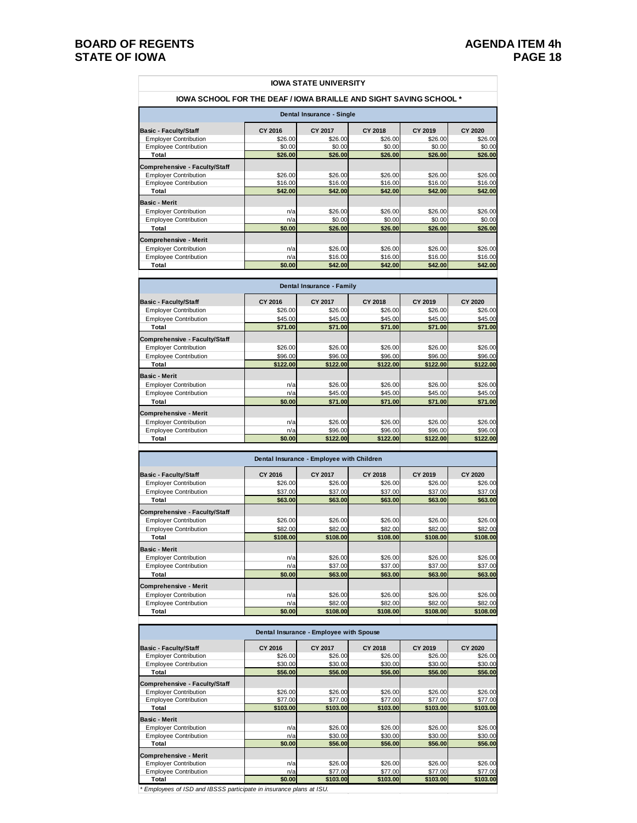#### **BOARD OF REGENTS**<br>**BOARD OF REGENTS AGENDA ITEM 4h**<br>PAGE 18 **STATE OF IOWA**

 $\Gamma$ 

| <b>IOWA STATE UNIVERSITY</b>                                             |         |         |         |         |                |  |  |  |  |
|--------------------------------------------------------------------------|---------|---------|---------|---------|----------------|--|--|--|--|
| <b>IOWA SCHOOL FOR THE DEAF / IOWA BRAILLE AND SIGHT SAVING SCHOOL *</b> |         |         |         |         |                |  |  |  |  |
| Dental Insurance - Single                                                |         |         |         |         |                |  |  |  |  |
| <b>Basic - Faculty/Staff</b>                                             | CY 2016 | CY 2017 | CY 2018 | CY 2019 | <b>CY 2020</b> |  |  |  |  |
| <b>Employer Contribution</b>                                             | \$26.00 | \$26.00 | \$26.00 | \$26.00 | \$26.00        |  |  |  |  |
| <b>Employee Contribution</b>                                             | \$0.00  | \$0.00  | \$0.00  | \$0.00  | \$0.00         |  |  |  |  |
| Total                                                                    | \$26.00 | \$26.00 | \$26.00 | \$26.00 | \$26.00        |  |  |  |  |
| <b>Comprehensive - Faculty/Staff</b>                                     |         |         |         |         |                |  |  |  |  |
| <b>Employer Contribution</b>                                             | \$26.00 | \$26,00 | \$26.00 | \$26.00 | \$26.00        |  |  |  |  |
| <b>Employee Contribution</b>                                             | \$16.00 | \$16.00 | \$16.00 | \$16.00 | \$16.00        |  |  |  |  |
| Total                                                                    | \$42.00 | \$42.00 | \$42.00 | \$42.00 | \$42.00        |  |  |  |  |
| <b>Basic - Merit</b>                                                     |         |         |         |         |                |  |  |  |  |
| <b>Employer Contribution</b>                                             | n/a     | \$26.00 | \$26.00 | \$26.00 | \$26.00        |  |  |  |  |
| <b>Employee Contribution</b>                                             | n/a     | \$0.00  | \$0.00  | \$0.00  | \$0.00         |  |  |  |  |
| Total                                                                    | \$0.00  | \$26.00 | \$26.00 | \$26.00 | \$26.00        |  |  |  |  |
| <b>Comprehensive - Merit</b>                                             |         |         |         |         |                |  |  |  |  |
| <b>Employer Contribution</b>                                             | n/a     | \$26.00 | \$26.00 | \$26.00 | \$26.00        |  |  |  |  |
| <b>Employee Contribution</b>                                             | n/a     | \$16.00 | \$16.00 | \$16.00 | \$16.00        |  |  |  |  |
| Total                                                                    | \$0.00  | \$42.00 | \$42.00 | \$42.00 | \$42.00        |  |  |  |  |

| Dental Insurance - Family            |          |          |          |          |                |  |  |  |
|--------------------------------------|----------|----------|----------|----------|----------------|--|--|--|
| <b>Basic - Faculty/Staff</b>         | CY 2016  | CY 2017  | CY 2018  | CY 2019  | <b>CY 2020</b> |  |  |  |
| <b>Employer Contribution</b>         | \$26.00  | \$26.00  | \$26.00  | \$26.00  | \$26.00        |  |  |  |
| <b>Employee Contribution</b>         | \$45,00  | \$45.00  | \$45.00  | \$45.00  | \$45.00        |  |  |  |
| Total                                | \$71.00  | \$71.00  | \$71.00  | \$71.00  | \$71.00        |  |  |  |
| <b>Comprehensive - Faculty/Staff</b> |          |          |          |          |                |  |  |  |
| <b>Employer Contribution</b>         | \$26,00  | \$26,00  | \$26.00  | \$26.00  | \$26.00        |  |  |  |
| <b>Employee Contribution</b>         | \$96.00  | \$96.00  | \$96.00  | \$96.00  | \$96.00        |  |  |  |
| Total                                | \$122.00 | \$122.00 | \$122.00 | \$122.00 | \$122.00       |  |  |  |
| <b>Basic - Merit</b>                 |          |          |          |          |                |  |  |  |
| <b>Employer Contribution</b>         | n/a      | \$26.00  | \$26.00  | \$26.00  | \$26.00        |  |  |  |
| <b>Employee Contribution</b>         | n/a      | \$45.00  | \$45.00  | \$45.00  | \$45.00        |  |  |  |
| Total                                | \$0.00   | \$71.00  | \$71.00  | \$71.00  | \$71.00        |  |  |  |
| <b>Comprehensive - Merit</b>         |          |          |          |          |                |  |  |  |
| <b>Employer Contribution</b>         | n/a      | \$26.00  | \$26.00  | \$26.00  | \$26.00        |  |  |  |
| <b>Employee Contribution</b>         | n/a      | \$96.00  | \$96.00  | \$96.00  | \$96.00        |  |  |  |
| Total                                | \$0.00   | \$122.00 | \$122.00 | \$122.00 | \$122.00       |  |  |  |

**Basic - Faculty/Staff CY 2016 CY 2017 CY 2018 CY 2019 CY 2020** Employer Contribution \$26.00 \$26.00 \$26.00 \$26.00 \$26.00 Employee Contribution **537.00** \$37.00 \$37.00 \$37.00 \$37.00 \$37.00 \$37.00 \$37.00 \$58.00 \$63.00 \$63.00 **Total \$63.00 \$63.00 \$63.00 \$63.00 \$63.00 Comprehensive - Faculty/Staff** Employer Contribution  $\frac{$26.00}{$82.00}$  \$26.00 \$26.00 \$26.00 \$26.00 \$26.00 \$26.00 \$26.00 \$26.00 \$32.00 \$32.00 \$82.00 \$32.00 \$82.00 \$82.00 \$82.00 \$82.00 \$82.00 \$82.00 \$82.00 \$82.00 \$82.00 \$82.00 \$82.00 \$82.00 \$82.00 \$82.00 Employee Contribution \$82.00 \$82.00 \$82.00 \$82.00 \$82.00 **Total \$108.00 \$108.00 \$108.00 \$108.00 \$108.00 Basic - Merit** Employer Contribution<br>
Employee Contribution<br>
Employee Contribution<br>  $\frac{1}{28}$  126.00 \$26.00 \$26.00 \$26.00 \$26.00 \$27.00 \$37.00 \$37.00 Employee Contribution 1/a 337.00 \$37.00 \$37.00 \$37.00 \$37.00 \$37.00 \$37.00 \$53.00 \$63.00 \$63.00 \$63.00 \$63.00 **Total \$0.00 \$63.00 \$63.00 \$63.00 \$63.00 Comprehensive - Merit** Employer Contribution <br>
Employee Contribution 1/a  $\frac{1}{26}$  1  $\frac{1}{26}$  1  $\frac{1}{26}$  1  $\frac{1}{26}$  1  $\frac{1}{26}$  1  $\frac{1}{26}$  1  $\frac{1}{26}$  1  $\frac{1}{26}$  1  $\frac{1}{26}$  1  $\frac{1}{26}$  1  $\frac{1}{26}$  1  $\frac{1}{26}$  1  $\frac{1}{26}$  1  $\frac$ Employee Contribution **1/a** \$82.00 \$82.00 \$82.00 \$82.00 \$82.00 \$82.00 \$82.00 \$82.00 \$82.00 \$82.00 \$82.00 \$108.00 \$108.00 \$108.00 \$108.00 \$108.00 \$108.00 \$108.00 \$108.00 \$108.00 \$108.00 \$108.00 \$108.00 \$108.00 \$108.00 \$108. **Total \$0.00 \$108.00 \$108.00 \$108.00 \$108.00 Dental Insurance - Employee with Children**

| Dental Insurance - Employee with Spouse |          |          |          |          |          |  |  |  |
|-----------------------------------------|----------|----------|----------|----------|----------|--|--|--|
| <b>Basic - Faculty/Staff</b>            | CY 2016  | CY 2017  | CY 2018  | CY 2019  | CY 2020  |  |  |  |
| <b>Employer Contribution</b>            | \$26.00  | \$26.00  | \$26.00  | \$26.00  | \$26.00  |  |  |  |
| <b>Employee Contribution</b>            | \$30,00  | \$30.00  | \$30.00  | \$30.00  | \$30.00  |  |  |  |
| Total                                   | \$56.00  | \$56.00  | \$56.00  | \$56.00  | \$56.00  |  |  |  |
| <b>Comprehensive - Faculty/Staff</b>    |          |          |          |          |          |  |  |  |
| <b>Employer Contribution</b>            | \$26.00  | \$26.00  | \$26.00  | \$26.00  | \$26.00  |  |  |  |
| <b>Employee Contribution</b>            | \$77.00  | \$77.00  | \$77.00  | \$77.00  | \$77.00  |  |  |  |
| Total                                   | \$103.00 | \$103.00 | \$103.00 | \$103.00 | \$103.00 |  |  |  |
| <b>Basic - Merit</b>                    |          |          |          |          |          |  |  |  |
| <b>Employer Contribution</b>            | n/a      | \$26.00  | \$26.00  | \$26.00  | \$26.00  |  |  |  |
| <b>Employee Contribution</b>            | n/a      | \$30.00  | \$30.00  | \$30.00  | \$30.00  |  |  |  |
| Total                                   | \$0.00   | \$56.00  | \$56.00  | \$56.00  | \$56.00  |  |  |  |
| <b>Comprehensive - Merit</b>            |          |          |          |          |          |  |  |  |
| <b>Employer Contribution</b>            | n/a      | \$26.00  | \$26.00  | \$26.00  | \$26.00  |  |  |  |
| <b>Employee Contribution</b>            | n/a      | \$77.00  | \$77.00  | \$77.00  | \$77.00  |  |  |  |
| Total                                   | \$0.00   | \$103.00 | \$103.00 | \$103.00 | \$103.00 |  |  |  |
|                                         |          |          |          |          |          |  |  |  |

*\* Employees of ISD and IBSSS participate in insurance plans at ISU.*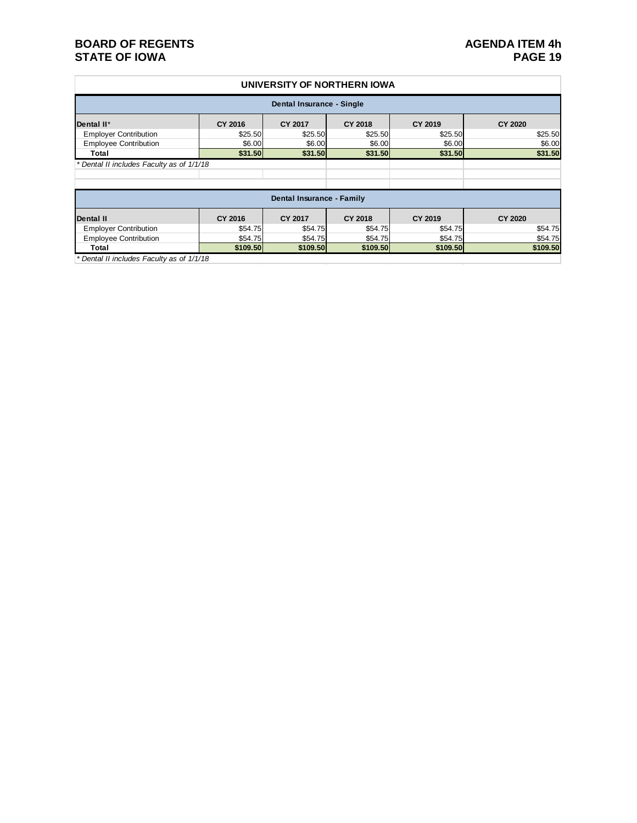#### **BOARD OF REGENTS**<br> **BOARD OF REGENTS**<br> **BOARD OF IOWA**<br> **PAGE 19 STATE OF IOWA**

#### **UNIVERSITY OF NORTHERN IOWA**

| Dental Insurance - Single                 |          |                |                |          |                |  |  |  |
|-------------------------------------------|----------|----------------|----------------|----------|----------------|--|--|--|
| Dental II*                                | CY 2016  | CY 2017        | <b>CY 2018</b> | CY 2019  | <b>CY 2020</b> |  |  |  |
| <b>Employer Contribution</b>              | \$25.50  | \$25.50        | \$25.50        | \$25.50  | \$25.50        |  |  |  |
| <b>Employee Contribution</b>              | \$6.00   | \$6.00         | \$6.00         | \$6.00   | \$6.00         |  |  |  |
| Total                                     | \$31.50  | \$31.50        | \$31.50        | \$31.50  | \$31.50        |  |  |  |
| * Dental II includes Faculty as of 1/1/18 |          |                |                |          |                |  |  |  |
|                                           |          |                |                |          |                |  |  |  |
|                                           |          |                |                |          |                |  |  |  |
| Dental Insurance - Family                 |          |                |                |          |                |  |  |  |
| <b>Dental II</b>                          | CY 2016  | <b>CY 2017</b> | CY 2018        | CY 2019  | <b>CY 2020</b> |  |  |  |
| <b>Employer Contribution</b>              | \$54.75  | \$54.75        | \$54.75        | \$54.75  | \$54.75        |  |  |  |
| <b>Employee Contribution</b>              | \$54.75  | \$54.75        | \$54.75        | \$54.75  | \$54.75        |  |  |  |
| Total                                     | \$109.50 | \$109,50       | \$109.50       | \$109.50 | \$109.50       |  |  |  |

*\* Dental II includes Faculty as of 1/1/18*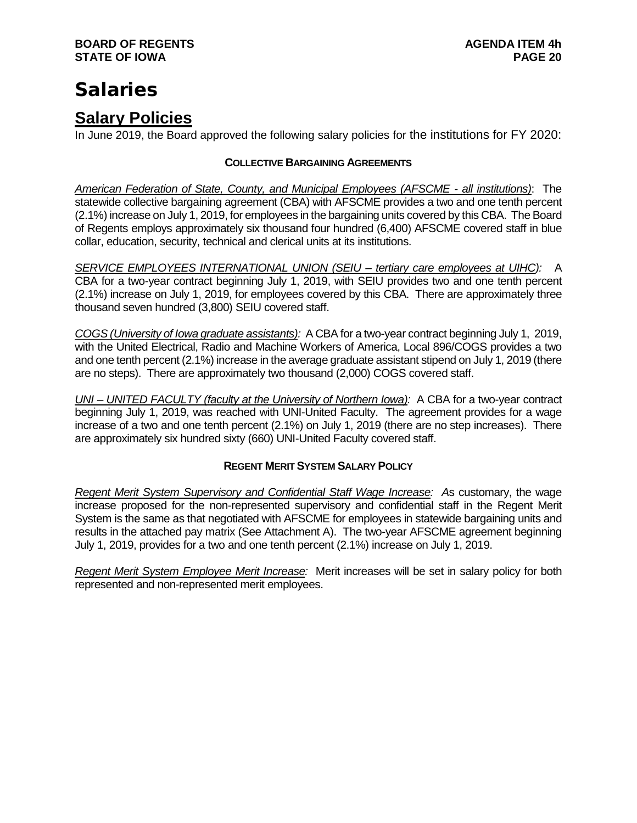## **Salaries**

### **Salary Policies**

In June 2019, the Board approved the following salary policies for the institutions for FY 2020:

#### **COLLECTIVE BARGAINING AGREEMENTS**

*American Federation of State, County, and Municipal Employees (AFSCME - all institutions)*: The statewide collective bargaining agreement (CBA) with AFSCME provides a two and one tenth percent (2.1%) increase on July 1, 2019, for employees in the bargaining units covered by this CBA. The Board of Regents employs approximately six thousand four hundred (6,400) AFSCME covered staff in blue collar, education, security, technical and clerical units at its institutions.

*SERVICE EMPLOYEES INTERNATIONAL UNION (SEIU – tertiary care employees at UIHC):* A CBA for a two-year contract beginning July 1, 2019, with SEIU provides two and one tenth percent (2.1%) increase on July 1, 2019, for employees covered by this CBA. There are approximately three thousand seven hundred (3,800) SEIU covered staff.

*COGS (University of Iowa graduate assistants):* A CBA for a two-year contract beginning July 1, 2019, with the United Electrical, Radio and Machine Workers of America, Local 896/COGS provides a two and one tenth percent (2.1%) increase in the average graduate assistant stipend on July 1, 2019 (there are no steps). There are approximately two thousand (2,000) COGS covered staff.

*UNI – UNITED FACULTY (faculty at the University of Northern Iowa):* A CBA for a two-year contract beginning July 1, 2019, was reached with UNI-United Faculty. The agreement provides for a wage increase of a two and one tenth percent (2.1%) on July 1, 2019 (there are no step increases). There are approximately six hundred sixty (660) UNI-United Faculty covered staff.

#### **REGENT MERIT SYSTEM SALARY POLICY**

*Regent Merit System Supervisory and Confidential Staff Wage Increase: A*s customary, the wage increase proposed for the non-represented supervisory and confidential staff in the Regent Merit System is the same as that negotiated with AFSCME for employees in statewide bargaining units and results in the attached pay matrix (See Attachment A). The two-year AFSCME agreement beginning July 1, 2019, provides for a two and one tenth percent (2.1%) increase on July 1, 2019.

*Regent Merit System Employee Merit Increase:* Merit increases will be set in salary policy for both represented and non-represented merit employees.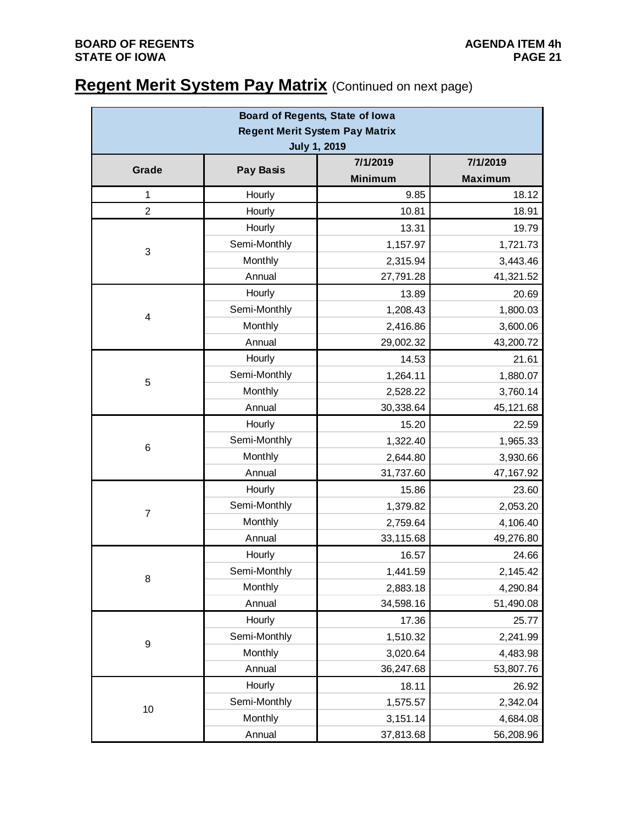## **Regent Merit System Pay Matrix** (Continued on next page)

| Board of Regents, State of Iowa       |                  |                |                |  |  |  |  |
|---------------------------------------|------------------|----------------|----------------|--|--|--|--|
| <b>Regent Merit System Pay Matrix</b> |                  |                |                |  |  |  |  |
| <b>July 1, 2019</b>                   |                  |                |                |  |  |  |  |
| Grade                                 | <b>Pay Basis</b> | 7/1/2019       | 7/1/2019       |  |  |  |  |
|                                       |                  | <b>Minimum</b> | <b>Maximum</b> |  |  |  |  |
| 1                                     | Hourly           | 9.85           | 18.12          |  |  |  |  |
| $\overline{2}$                        | Hourly           | 10.81          | 18.91          |  |  |  |  |
|                                       | Hourly           | 13.31          | 19.79          |  |  |  |  |
| 3                                     | Semi-Monthly     | 1,157.97       | 1,721.73       |  |  |  |  |
|                                       | Monthly          | 2,315.94       | 3,443.46       |  |  |  |  |
|                                       | Annual           | 27,791.28      | 41,321.52      |  |  |  |  |
|                                       | Hourly           | 13.89          | 20.69          |  |  |  |  |
| 4                                     | Semi-Monthly     | 1,208.43       | 1,800.03       |  |  |  |  |
|                                       | Monthly          | 2,416.86       | 3,600.06       |  |  |  |  |
|                                       | Annual           | 29,002.32      | 43,200.72      |  |  |  |  |
|                                       | Hourly           | 14.53          | 21.61          |  |  |  |  |
| 5                                     | Semi-Monthly     | 1,264.11       | 1,880.07       |  |  |  |  |
|                                       | Monthly          | 2,528.22       | 3,760.14       |  |  |  |  |
|                                       | Annual           | 30,338.64      | 45,121.68      |  |  |  |  |
|                                       | Hourly           | 15.20          | 22.59          |  |  |  |  |
| 6                                     | Semi-Monthly     | 1,322.40       | 1,965.33       |  |  |  |  |
|                                       | Monthly          | 2,644.80       | 3,930.66       |  |  |  |  |
|                                       | Annual           | 31,737.60      | 47, 167. 92    |  |  |  |  |
|                                       | Hourly           | 15.86          | 23.60          |  |  |  |  |
|                                       | Semi-Monthly     | 1,379.82       | 2,053.20       |  |  |  |  |
| $\overline{7}$                        | Monthly          | 2,759.64       | 4,106.40       |  |  |  |  |
|                                       | Annual           | 33,115.68      | 49,276.80      |  |  |  |  |
|                                       | Hourly           | 16.57          | 24.66          |  |  |  |  |
|                                       | Semi-Monthly     | 1,441.59       | 2,145.42       |  |  |  |  |
| 8                                     | Monthly          | 2,883.18       | 4,290.84       |  |  |  |  |
|                                       | Annual           | 34,598.16      | 51,490.08      |  |  |  |  |
|                                       | Hourly           | 17.36          | 25.77          |  |  |  |  |
|                                       | Semi-Monthly     | 1,510.32       | 2,241.99       |  |  |  |  |
| 9                                     | Monthly          | 3,020.64       | 4,483.98       |  |  |  |  |
|                                       | Annual           | 36,247.68      | 53,807.76      |  |  |  |  |
|                                       | Hourly           | 18.11          | 26.92          |  |  |  |  |
|                                       | Semi-Monthly     | 1,575.57       | 2,342.04       |  |  |  |  |
| 10                                    | Monthly          | 3,151.14       | 4,684.08       |  |  |  |  |
|                                       | Annual           | 37,813.68      | 56,208.96      |  |  |  |  |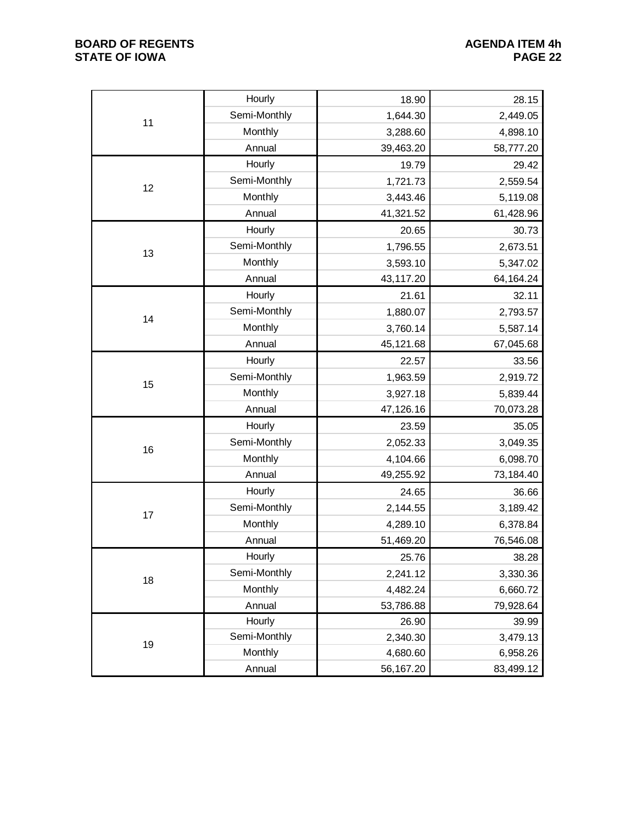#### **BOARD OF REGENTS**<br> **BOARD OF REGENTS**<br> **BOARD OF IOWA**<br>
PAGE 22 **STATE OF IOWA**

|    | Hourly       | 18.90     | 28.15     |
|----|--------------|-----------|-----------|
| 11 | Semi-Monthly | 1,644.30  | 2,449.05  |
|    | Monthly      | 3,288.60  | 4,898.10  |
|    | Annual       | 39,463.20 | 58,777.20 |
|    | Hourly       | 19.79     | 29.42     |
| 12 | Semi-Monthly | 1,721.73  | 2,559.54  |
|    | Monthly      | 3,443.46  | 5,119.08  |
|    | Annual       | 41,321.52 | 61,428.96 |
|    | Hourly       | 20.65     | 30.73     |
|    | Semi-Monthly | 1,796.55  | 2,673.51  |
| 13 | Monthly      | 3,593.10  | 5,347.02  |
|    | Annual       | 43,117.20 | 64,164.24 |
|    | Hourly       | 21.61     | 32.11     |
| 14 | Semi-Monthly | 1,880.07  | 2,793.57  |
|    | Monthly      | 3,760.14  | 5,587.14  |
|    | Annual       | 45,121.68 | 67,045.68 |
|    | Hourly       | 22.57     | 33.56     |
|    | Semi-Monthly | 1,963.59  | 2,919.72  |
| 15 | Monthly      | 3,927.18  | 5,839.44  |
|    | Annual       | 47,126.16 | 70,073.28 |
|    | Hourly       | 23.59     | 35.05     |
| 16 | Semi-Monthly | 2,052.33  | 3,049.35  |
|    | Monthly      | 4,104.66  | 6,098.70  |
|    | Annual       | 49,255.92 | 73,184.40 |
|    | Hourly       | 24.65     | 36.66     |
| 17 | Semi-Monthly | 2,144.55  | 3,189.42  |
|    | Monthly      | 4,289.10  | 6,378.84  |
|    | Annual       | 51,469.20 | 76,546.08 |
|    | Hourly       | 25.76     | 38.28     |
|    | Semi-Monthly | 2,241.12  | 3,330.36  |
| 18 | Monthly      | 4,482.24  | 6,660.72  |
|    | Annual       | 53,786.88 | 79,928.64 |
|    | Hourly       | 26.90     | 39.99     |
| 19 | Semi-Monthly | 2,340.30  | 3,479.13  |
|    | Monthly      | 4,680.60  | 6,958.26  |
|    | Annual       | 56,167.20 | 83,499.12 |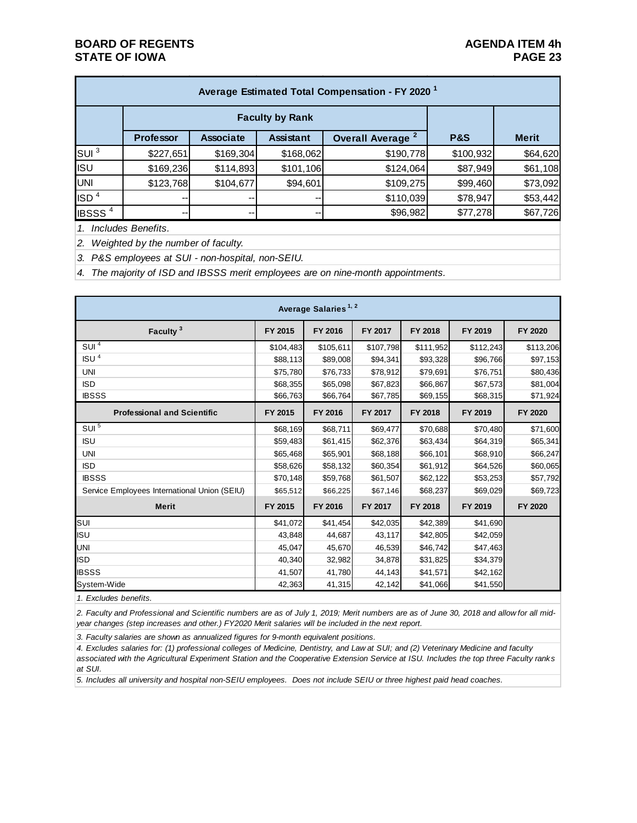| Average Estimated Total Compensation - FY 2020 <sup>1</sup> |                  |                  |                  |                              |                |              |  |  |
|-------------------------------------------------------------|------------------|------------------|------------------|------------------------------|----------------|--------------|--|--|
|                                                             |                  |                  |                  |                              |                |              |  |  |
|                                                             | <b>Professor</b> | <b>Associate</b> | <b>Assistant</b> | Overall Average <sup>2</sup> | <b>P&amp;S</b> | <b>Merit</b> |  |  |
| $\overline{\text{SUI}}^3$                                   | \$227,651        | \$169,304        | \$168,062        | \$190,778                    | \$100,932      | \$64,620     |  |  |
| <b>ISU</b>                                                  | \$169,236        | \$114,893        | \$101,106        | \$124,064                    | \$87,949       | \$61,108     |  |  |
| UNI                                                         | \$123,768        | \$104,677        | \$94,601         | \$109,275                    | \$99,460       | \$73,092     |  |  |
| ISD <sup>4</sup>                                            | --               |                  | --               | \$110,039                    | \$78,947       | \$53,442     |  |  |
| <b>IBSSS<sup>4</sup></b>                                    | --               | --               | --               | \$96,982                     | \$77,278       | \$67,726     |  |  |

*1. Includes Benefits.*

*2. Weighted by the number of faculty.*

*3. P&S employees at SUI - non-hospital, non-SEIU.*

*4. The majority of ISD and IBSSS merit employees are on nine-month appointments.*

| Average Salaries <sup>1, 2</sup>             |           |           |           |           |           |           |  |
|----------------------------------------------|-----------|-----------|-----------|-----------|-----------|-----------|--|
| Faculty <sup>3</sup>                         | FY 2015   | FY 2016   | FY 2017   | FY 2018   | FY 2019   | FY 2020   |  |
| SUI <sup>4</sup>                             | \$104,483 | \$105,611 | \$107,798 | \$111,952 | \$112,243 | \$113,206 |  |
| ISU <sup>4</sup>                             | \$88,113  | \$89,008  | \$94,341  | \$93,328  | \$96,766  | \$97,153  |  |
| <b>UNI</b>                                   | \$75,780  | \$76,733  | \$78,912  | \$79,691  | \$76,751  | \$80,436  |  |
| <b>ISD</b>                                   | \$68,355  | \$65,098  | \$67,823  | \$66,867  | \$67,573  | \$81,004  |  |
| <b>IBSSS</b>                                 | \$66,763  | \$66,764  | \$67,785  | \$69,155  | \$68,315  | \$71,924  |  |
| <b>Professional and Scientific</b>           | FY 2015   | FY 2016   | FY 2017   | FY 2018   | FY 2019   | FY 2020   |  |
| SUI <sup>5</sup>                             | \$68,169  | \$68,711  | \$69,477  | \$70,688  | \$70,480  | \$71,600  |  |
| <b>ISU</b>                                   | \$59,483  | \$61,415  | \$62,376  | \$63,434  | \$64,319  | \$65,341  |  |
| <b>UNI</b>                                   | \$65,468  | \$65,901  | \$68,188  | \$66,101  | \$68,910  | \$66,247  |  |
| <b>ISD</b>                                   | \$58,626  | \$58,132  | \$60,354  | \$61,912  | \$64,526  | \$60,065  |  |
| <b>IBSSS</b>                                 | \$70,148  | \$59,768  | \$61,507  | \$62,122  | \$53,253  | \$57,792  |  |
| Service Employees International Union (SEIU) | \$65,512  | \$66,225  | \$67,146  | \$68,237  | \$69,029  | \$69,723  |  |
| <b>Merit</b>                                 | FY 2015   | FY 2016   | FY 2017   | FY 2018   | FY 2019   | FY 2020   |  |
| SUI                                          | \$41,072  | \$41,454  | \$42,035  | \$42,389  | \$41,690  |           |  |
| <b>ISU</b>                                   | 43,848    | 44,687    | 43,117    | \$42,805  | \$42,059  |           |  |
| <b>UNI</b>                                   | 45,047    | 45,670    | 46,539    | \$46,742  | \$47,463  |           |  |
| <b>ISD</b>                                   | 40,340    | 32,982    | 34,878    | \$31,825  | \$34,379  |           |  |
| <b>IBSSS</b>                                 | 41,507    | 41,780    | 44,143    | \$41,571  | \$42,162  |           |  |
| System-Wide                                  | 42,363    | 41,315    | 42,142    | \$41,066  | \$41,550  |           |  |

*1. Excludes benefits.*

*2. Faculty and Professional and Scientific numbers are as of July 1, 2019; Merit numbers are as of June 30, 2018 and allow for all midyear changes (step increases and other.) FY2020 Merit salaries will be included in the next report.*

*3. Faculty salaries are shown as annualized figures for 9-month equivalent positions.*

*4. Excludes salaries for: (1) professional colleges of Medicine, Dentistry, and Law at SUI; and (2) Veterinary Medicine and faculty associated with the Agricultural Experiment Station and the Cooperative Extension Service at ISU. Includes the top three Faculty ranks at SUI.*

*5. Includes all university and hospital non-SEIU employees. Does not include SEIU or three highest paid head coaches.*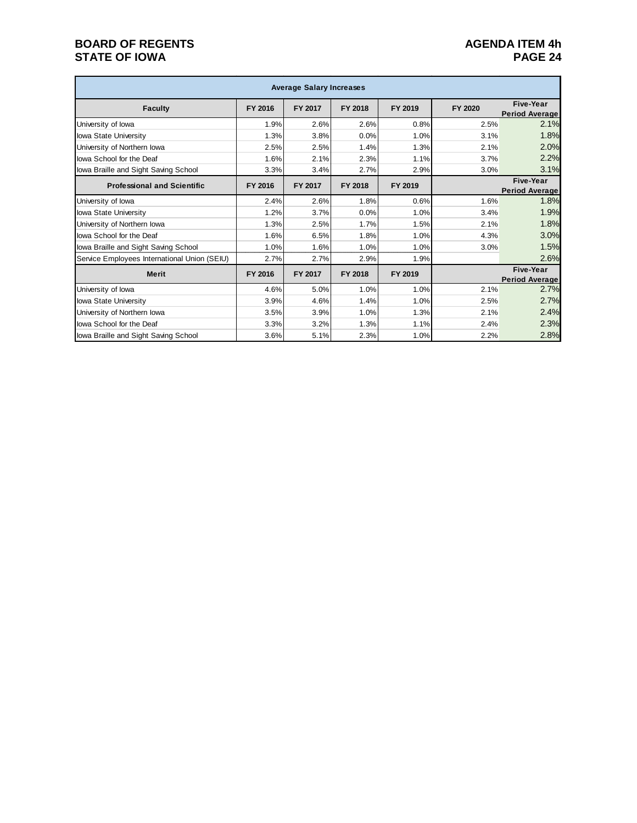#### **BOARD OF REGENTS**<br>**BOARD OF REGENTS AGENDA ITEM 4h**<br>**PAGE 24 STATE OF IOWA**

| <b>Average Salary Increases</b>              |         |         |         |         |         |                                           |  |
|----------------------------------------------|---------|---------|---------|---------|---------|-------------------------------------------|--|
| <b>Faculty</b>                               | FY 2016 | FY 2017 | FY 2018 | FY 2019 | FY 2020 | Five-Year<br><b>Period Average</b>        |  |
| University of lowa                           | 1.9%    | 2.6%    | 2.6%    | 0.8%    | 2.5%    | 2.1%                                      |  |
| <b>Iowa State University</b>                 | 1.3%    | 3.8%    | 0.0%    | 1.0%    | 3.1%    | 1.8%                                      |  |
| University of Northern Iowa                  | 2.5%    | 2.5%    | 1.4%    | 1.3%    | 2.1%    | 2.0%                                      |  |
| lowa School for the Deaf                     | 1.6%    | 2.1%    | 2.3%    | 1.1%    | 3.7%    | 2.2%                                      |  |
| lowa Braille and Sight Saving School         | 3.3%    | 3.4%    | 2.7%    | 2.9%    | 3.0%    | 3.1%                                      |  |
| <b>Professional and Scientific</b>           | FY 2016 | FY 2017 | FY 2018 | FY 2019 |         | <b>Five-Year</b><br><b>Period Average</b> |  |
| University of lowa                           | 2.4%    | 2.6%    | 1.8%    | 0.6%    | 1.6%    | 1.8%                                      |  |
| <b>Iowa State University</b>                 | 1.2%    | 3.7%    | 0.0%    | 1.0%    | 3.4%    | 1.9%                                      |  |
| University of Northern Iowa                  | 1.3%    | 2.5%    | 1.7%    | 1.5%    | 2.1%    | 1.8%                                      |  |
| lowa School for the Deaf                     | 1.6%    | 6.5%    | 1.8%    | 1.0%    | 4.3%    | 3.0%                                      |  |
| lowa Braille and Sight Saving School         | 1.0%    | 1.6%    | 1.0%    | 1.0%    | 3.0%    | 1.5%                                      |  |
| Service Employees International Union (SEIU) | 2.7%    | 2.7%    | 2.9%    | 1.9%    |         | 2.6%                                      |  |
| <b>Merit</b>                                 | FY 2016 | FY 2017 | FY 2018 | FY 2019 |         | <b>Five-Year</b><br><b>Period Average</b> |  |
| University of lowa                           | 4.6%    | 5.0%    | 1.0%    | 1.0%    | 2.1%    | 2.7%                                      |  |
| Iowa State University                        | 3.9%    | 4.6%    | 1.4%    | 1.0%    | 2.5%    | 2.7%                                      |  |
| University of Northern Iowa                  | 3.5%    | 3.9%    | 1.0%    | 1.3%    | 2.1%    | 2.4%                                      |  |
| lowa School for the Deaf                     | 3.3%    | 3.2%    | 1.3%    | 1.1%    | 2.4%    | 2.3%                                      |  |
| lowa Braille and Sight Saving School         | 3.6%    | 5.1%    | 2.3%    | 1.0%    | 2.2%    | 2.8%                                      |  |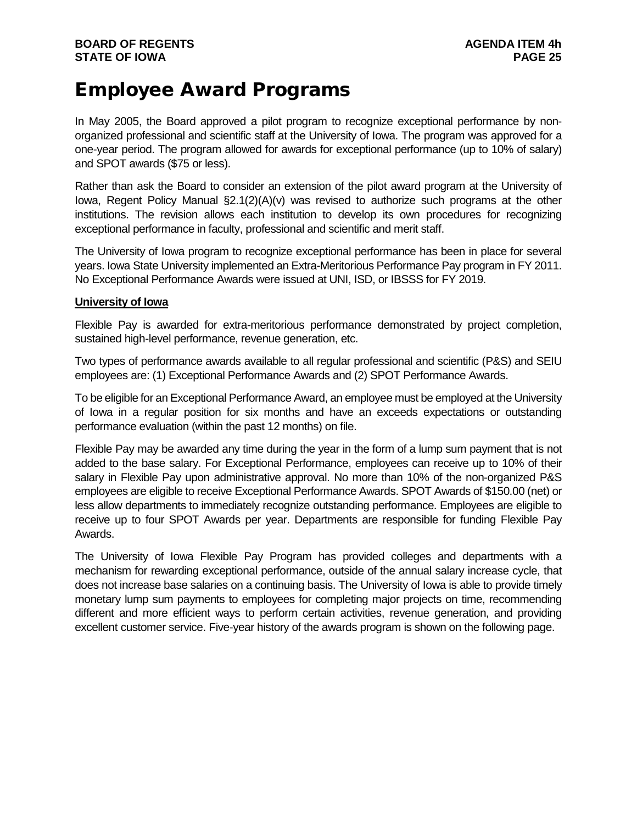## Employee Award Programs

In May 2005, the Board approved a pilot program to recognize exceptional performance by nonorganized professional and scientific staff at the University of Iowa. The program was approved for a one-year period. The program allowed for awards for exceptional performance (up to 10% of salary) and SPOT awards (\$75 or less).

Rather than ask the Board to consider an extension of the pilot award program at the University of Iowa, Regent Policy Manual §2.1(2)(A)(v) was revised to authorize such programs at the other institutions. The revision allows each institution to develop its own procedures for recognizing exceptional performance in faculty, professional and scientific and merit staff.

The University of Iowa program to recognize exceptional performance has been in place for several years. Iowa State University implemented an Extra-Meritorious Performance Pay program in FY 2011. No Exceptional Performance Awards were issued at UNI, ISD, or IBSSS for FY 2019.

#### **University of Iowa**

Flexible Pay is awarded for extra-meritorious performance demonstrated by project completion, sustained high-level performance, revenue generation, etc.

Two types of performance awards available to all regular professional and scientific (P&S) and SEIU employees are: (1) Exceptional Performance Awards and (2) SPOT Performance Awards.

To be eligible for an Exceptional Performance Award, an employee must be employed at the University of Iowa in a regular position for six months and have an exceeds expectations or outstanding performance evaluation (within the past 12 months) on file.

Flexible Pay may be awarded any time during the year in the form of a lump sum payment that is not added to the base salary. For Exceptional Performance, employees can receive up to 10% of their salary in Flexible Pay upon administrative approval. No more than 10% of the non-organized P&S employees are eligible to receive Exceptional Performance Awards. SPOT Awards of \$150.00 (net) or less allow departments to immediately recognize outstanding performance. Employees are eligible to receive up to four SPOT Awards per year. Departments are responsible for funding Flexible Pay Awards.

The University of Iowa Flexible Pay Program has provided colleges and departments with a mechanism for rewarding exceptional performance, outside of the annual salary increase cycle, that does not increase base salaries on a continuing basis. The University of Iowa is able to provide timely monetary lump sum payments to employees for completing major projects on time, recommending different and more efficient ways to perform certain activities, revenue generation, and providing excellent customer service. Five-year history of the awards program is shown on the following page.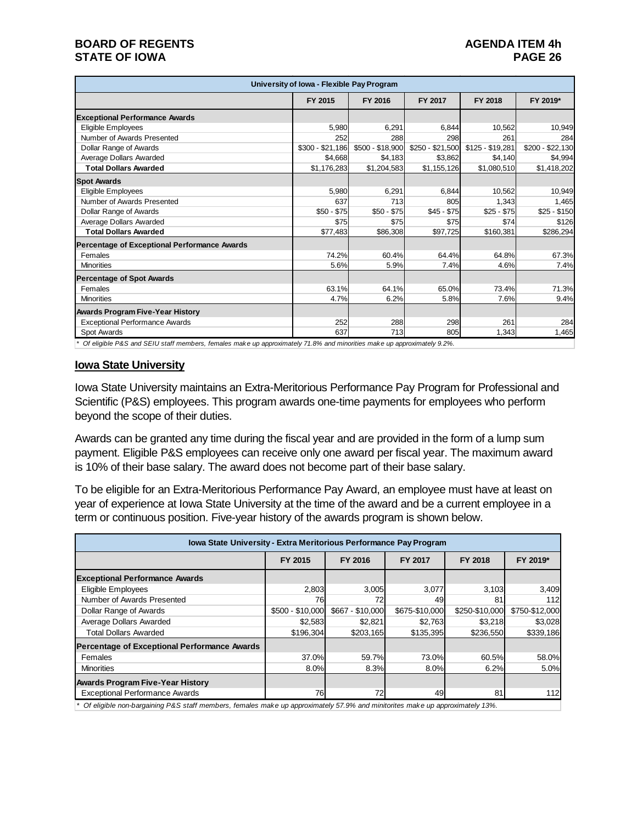#### **BOARD OF REGENTS**<br>**BOARD OF REGENTS AGENDA ITEM 4h**<br>PAGE 26 **STATE OF IOWA**

| University of Iowa - Flexible Pay Program                                                                                       |                  |                  |                  |                  |                      |  |
|---------------------------------------------------------------------------------------------------------------------------------|------------------|------------------|------------------|------------------|----------------------|--|
|                                                                                                                                 | FY 2015          | FY 2016          | FY 2017          | FY 2018          | FY 2019*             |  |
| <b>Exceptional Performance Awards</b>                                                                                           |                  |                  |                  |                  |                      |  |
| Eligible Employees                                                                                                              | 5.980            | 6.291            | 6.844            | 10.562           | 10,949               |  |
| Number of Awards Presented                                                                                                      | 252              | 288              | 298              | 261              | 284                  |  |
| Dollar Range of Awards                                                                                                          | $$300 - $21,186$ | $$500 - $18,900$ | \$250 - \$21,500 | $$125 - $19,281$ | $$200 -$<br>\$22,130 |  |
| Average Dollars Awarded                                                                                                         | \$4.668          | \$4,183          | \$3,862          | \$4,140          | \$4,994              |  |
| <b>Total Dollars Awarded</b>                                                                                                    | \$1,176,283      | \$1,204,583      | \$1,155,126      | \$1,080,510      | \$1,418,202          |  |
| <b>Spot Awards</b>                                                                                                              |                  |                  |                  |                  |                      |  |
| Eligible Employees                                                                                                              | 5,980            | 6,291            | 6.844            | 10,562           | 10,949               |  |
| Number of Awards Presented                                                                                                      | 637              | 713              | 805              | 1,343            | 1,465                |  |
| Dollar Range of Awards                                                                                                          | $$50 - $75$      | $$50 - $75$      | $$45 - $75$      | $$25 - $75$      | $$25 - $150$         |  |
| Average Dollars Awarded                                                                                                         | \$75             | \$75             | \$75             | \$74             | \$126                |  |
| <b>Total Dollars Awarded</b>                                                                                                    | \$77,483         | \$86,308         | \$97,725         | \$160,381        | \$286,294            |  |
| Percentage of Exceptional Performance Awards                                                                                    |                  |                  |                  |                  |                      |  |
| Females                                                                                                                         | 74.2%            | 60.4%            | 64.4%            | 64.8%            | 67.3%                |  |
| <b>Minorities</b>                                                                                                               | 5.6%             | 5.9%             | 7.4%             | 4.6%             | 7.4%                 |  |
| <b>Percentage of Spot Awards</b>                                                                                                |                  |                  |                  |                  |                      |  |
| Females                                                                                                                         | 63.1%            | 64.1%            | 65.0%            | 73.4%            | 71.3%                |  |
| <b>Minorities</b>                                                                                                               | 4.7%             | 6.2%             | 5.8%             | 7.6%             | 9.4%                 |  |
| <b>Awards Program Five-Year History</b>                                                                                         |                  |                  |                  |                  |                      |  |
| <b>Exceptional Performance Awards</b>                                                                                           | 252              | 288              | 298              | 261              | 284                  |  |
| Spot Awards                                                                                                                     | 637              | 713              | 805              | 1,343            | 1,465                |  |
| * Of - Evil L. DRO, and OEH Lieff according founded accles on concentration 74,004 and activities accles on concentration 0.004 |                  |                  |                  |                  |                      |  |

*\* Of eligible P&S and SEIU staff members, females make up approximately 71.8% and minorities make up approximately 9.2%.*

#### **Iowa State University**

Iowa State University maintains an Extra-Meritorious Performance Pay Program for Professional and Scientific (P&S) employees. This program awards one-time payments for employees who perform beyond the scope of their duties.

Awards can be granted any time during the fiscal year and are provided in the form of a lump sum payment. Eligible P&S employees can receive only one award per fiscal year. The maximum award is 10% of their base salary. The award does not become part of their base salary.

To be eligible for an Extra-Meritorious Performance Pay Award, an employee must have at least on year of experience at Iowa State University at the time of the award and be a current employee in a term or continuous position. Five-year history of the awards program is shown below.

| <b>Iowa State University - Extra Meritorious Performance Pay Program</b> |                  |                  |                |                |                |  |  |
|--------------------------------------------------------------------------|------------------|------------------|----------------|----------------|----------------|--|--|
|                                                                          | FY 2015          | FY 2016          | FY 2017        | FY 2018        | FY 2019*       |  |  |
| <b>Exceptional Performance Awards</b>                                    |                  |                  |                |                |                |  |  |
| <b>Eligible Employees</b>                                                | 2,803            | 3,005            | 3,077          | 3,103          | 3,409          |  |  |
| Number of Awards Presented                                               | 76               |                  | 49             | 81             | 112            |  |  |
| Dollar Range of Awards                                                   | $$500 - $10,000$ | \$667 - \$10,000 | \$675-\$10,000 | \$250-\$10,000 | \$750-\$12,000 |  |  |
| Average Dollars Awarded                                                  | \$2,583          | \$2,821          | \$2,763        | \$3,218        | \$3,028        |  |  |
| <b>Total Dollars Awarded</b>                                             | \$196.304        | \$203,165        | \$135,395      | \$236,550      | \$339,186      |  |  |
| Percentage of Exceptional Performance Awards                             |                  |                  |                |                |                |  |  |
| Females                                                                  | 37.0%            | 59.7%            | 73.0%          | 60.5%          | 58.0%          |  |  |
| <b>Minorities</b>                                                        | 8.0%             | 8.3%             | 8.0%           | 6.2%           | 5.0%           |  |  |
| <b>Awards Program Five-Year History</b>                                  |                  |                  |                |                |                |  |  |
| <b>Exceptional Performance Awards</b>                                    | 76               | 72               | 49             | 81             | 112            |  |  |

*\* Of eligible non-bargaining P&S staff members, females make up approximately 57.9% and minitorites make up approximately 13%.*